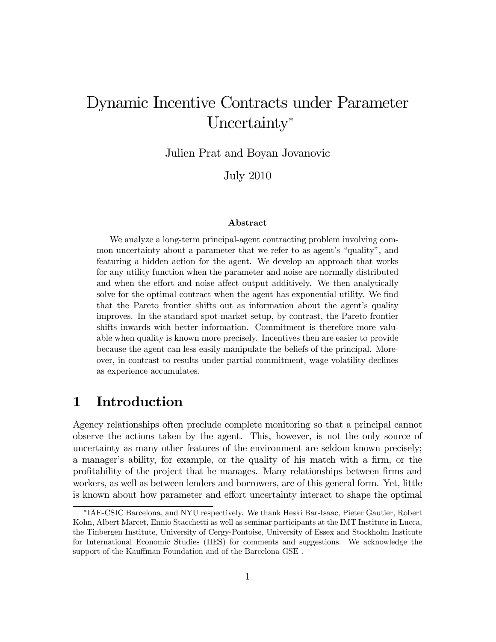# Dynamic Incentive Contracts under Parameter Uncertainty<sup>\*</sup>

Julien Prat and Boyan Jovanovic

July 2010

#### Abstract

We analyze a long-term principal-agent contracting problem involving common uncertainty about a parameter that we refer to as agent's "quality", and featuring a hidden action for the agent. We develop an approach that works for any utility function when the parameter and noise are normally distributed and when the effort and noise affect output additively. We then analytically solve for the optimal contract when the agent has exponential utility. We find that the Pareto frontier shifts out as information about the agent's quality improves. In the standard spot-market setup, by contrast, the Pareto frontier shifts inwards with better information. Commitment is therefore more valuable when quality is known more precisely. Incentives then are easier to provide because the agent can less easily manipulate the beliefs of the principal. Moreover, in contrast to results under partial commitment, wage volatility declines as experience accumulates.

## 1 Introduction

Agency relationships often preclude complete monitoring so that a principal cannot observe the actions taken by the agent. This, however, is not the only source of uncertainty as many other features of the environment are seldom known precisely; a manager's ability, for example, or the quality of his match with a firm, or the profitability of the project that he manages. Many relationships between firms and workers, as well as between lenders and borrowers, are of this general form. Yet, little is known about how parameter and effort uncertainty interact to shape the optimal

<sup>∗</sup>IAE-CSIC Barcelona, and NYU respectively. We thank Heski Bar-Isaac, Pieter Gautier, Robert Kohn, Albert Marcet, Ennio Stacchetti as well as seminar participants at the IMT Institute in Lucca, the Tinbergen Institute, University of Cergy-Pontoise, University of Essex and Stockholm Institute for International Economic Studies (IIES) for comments and suggestions. We acknowledge the support of the Kauffman Foundation and of the Barcelona GSE .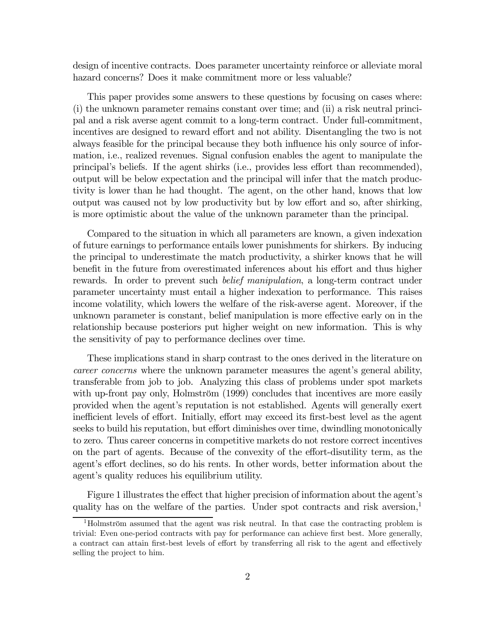design of incentive contracts. Does parameter uncertainty reinforce or alleviate moral hazard concerns? Does it make commitment more or less valuable?

This paper provides some answers to these questions by focusing on cases where: (i) the unknown parameter remains constant over time; and (ii) a risk neutral principal and a risk averse agent commit to a long-term contract. Under full-commitment, incentives are designed to reward effort and not ability. Disentangling the two is not always feasible for the principal because they both influence his only source of information, i.e., realized revenues. Signal confusion enables the agent to manipulate the principal's beliefs. If the agent shirks (i.e., provides less effort than recommended), output will be below expectation and the principal will infer that the match productivity is lower than he had thought. The agent, on the other hand, knows that low output was caused not by low productivity but by low effort and so, after shirking, is more optimistic about the value of the unknown parameter than the principal.

Compared to the situation in which all parameters are known, a given indexation of future earnings to performance entails lower punishments for shirkers. By inducing the principal to underestimate the match productivity, a shirker knows that he will benefit in the future from overestimated inferences about his effort and thus higher rewards. In order to prevent such *belief manipulation*, a long-term contract under parameter uncertainty must entail a higher indexation to performance. This raises income volatility, which lowers the welfare of the risk-averse agent. Moreover, if the unknown parameter is constant, belief manipulation is more effective early on in the relationship because posteriors put higher weight on new information. This is why the sensitivity of pay to performance declines over time.

These implications stand in sharp contrast to the ones derived in the literature on career concerns where the unknown parameter measures the agent's general ability, transferable from job to job. Analyzing this class of problems under spot markets with up-front pay only, Holmström (1999) concludes that incentives are more easily provided when the agent's reputation is not established. Agents will generally exert inefficient levels of effort. Initially, effort may exceed its first-best level as the agent seeks to build his reputation, but effort diminishes over time, dwindling monotonically to zero. Thus career concerns in competitive markets do not restore correct incentives on the part of agents. Because of the convexity of the effort-disutility term, as the agent's effort declines, so do his rents. In other words, better information about the agent's quality reduces his equilibrium utility.

Figure 1 illustrates the effect that higher precision of information about the agent's quality has on the welfare of the parties. Under spot contracts and risk aversion, $\frac{1}{1}$ 

<sup>&</sup>lt;sup>1</sup>Holmström assumed that the agent was risk neutral. In that case the contracting problem is trivial: Even one-period contracts with pay for performance can achieve first best. More generally, a contract can attain first-best levels of effort by transferring all risk to the agent and effectively selling the project to him.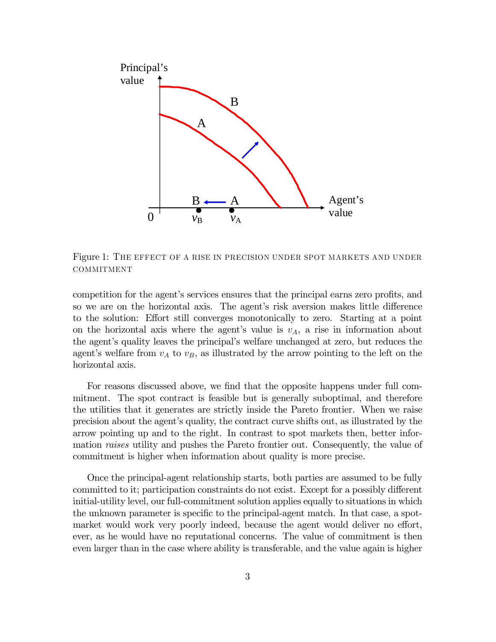

Figure 1: The effect of a rise in precision under spot markets and under **COMMITMENT** 

competition for the agent's services ensures that the principal earns zero profits, and so we are on the horizontal axis. The agent's risk aversion makes little difference to the solution: Effort still converges monotonically to zero. Starting at a point on the horizontal axis where the agent's value is  $v_A$ , a rise in information about the agent's quality leaves the principal's welfare unchanged at zero, but reduces the agent's welfare from  $v_A$  to  $v_B$ , as illustrated by the arrow pointing to the left on the horizontal axis.

For reasons discussed above, we find that the opposite happens under full commitment. The spot contract is feasible but is generally suboptimal, and therefore the utilities that it generates are strictly inside the Pareto frontier. When we raise precision about the agent's quality, the contract curve shifts out, as illustrated by the arrow pointing up and to the right. In contrast to spot markets then, better information *raises* utility and pushes the Pareto frontier out. Consequently, the value of commitment is higher when information about quality is more precise.

Once the principal-agent relationship starts, both parties are assumed to be fully committed to it; participation constraints do not exist. Except for a possibly different initial-utility level, our full-commitment solution applies equally to situations in which the unknown parameter is specific to the principal-agent match. In that case, a spotmarket would work very poorly indeed, because the agent would deliver no effort, ever, as he would have no reputational concerns. The value of commitment is then even larger than in the case where ability is transferable, and the value again is higher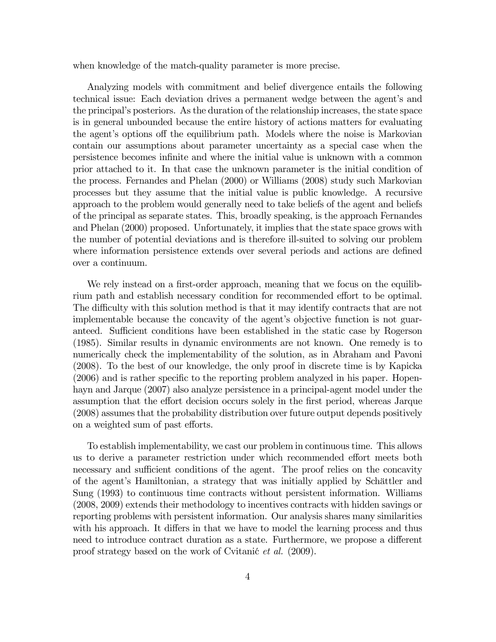when knowledge of the match-quality parameter is more precise.

Analyzing models with commitment and belief divergence entails the following technical issue: Each deviation drives a permanent wedge between the agent's and the principal's posteriors. As the duration of the relationship increases, the state space is in general unbounded because the entire history of actions matters for evaluating the agent's options off the equilibrium path. Models where the noise is Markovian contain our assumptions about parameter uncertainty as a special case when the persistence becomes infinite and where the initial value is unknown with a common prior attached to it. In that case the unknown parameter is the initial condition of the process. Fernandes and Phelan (2000) or Williams (2008) study such Markovian processes but they assume that the initial value is public knowledge. A recursive approach to the problem would generally need to take beliefs of the agent and beliefs of the principal as separate states. This, broadly speaking, is the approach Fernandes and Phelan (2000) proposed. Unfortunately, it implies that the state space grows with the number of potential deviations and is therefore ill-suited to solving our problem where information persistence extends over several periods and actions are defined over a continuum.

We rely instead on a first-order approach, meaning that we focus on the equilibrium path and establish necessary condition for recommended effort to be optimal. The difficulty with this solution method is that it may identify contracts that are not implementable because the concavity of the agent's objective function is not guaranteed. Sufficient conditions have been established in the static case by Rogerson (1985). Similar results in dynamic environments are not known. One remedy is to numerically check the implementability of the solution, as in Abraham and Pavoni (2008). To the best of our knowledge, the only proof in discrete time is by Kapicka (2006) and is rather specific to the reporting problem analyzed in his paper. Hopenhayn and Jarque (2007) also analyze persistence in a principal-agent model under the assumption that the effort decision occurs solely in the first period, whereas Jarque (2008) assumes that the probability distribution over future output depends positively on a weighted sum of past efforts.

To establish implementability, we cast our problem in continuous time. This allows us to derive a parameter restriction under which recommended effort meets both necessary and sufficient conditions of the agent. The proof relies on the concavity of the agent's Hamiltonian, a strategy that was initially applied by Schättler and Sung (1993) to continuous time contracts without persistent information. Williams (2008, 2009) extends their methodology to incentives contracts with hidden savings or reporting problems with persistent information. Our analysis shares many similarities with his approach. It differs in that we have to model the learning process and thus need to introduce contract duration as a state. Furthermore, we propose a different proof strategy based on the work of Cvitanic *et al.* (2009).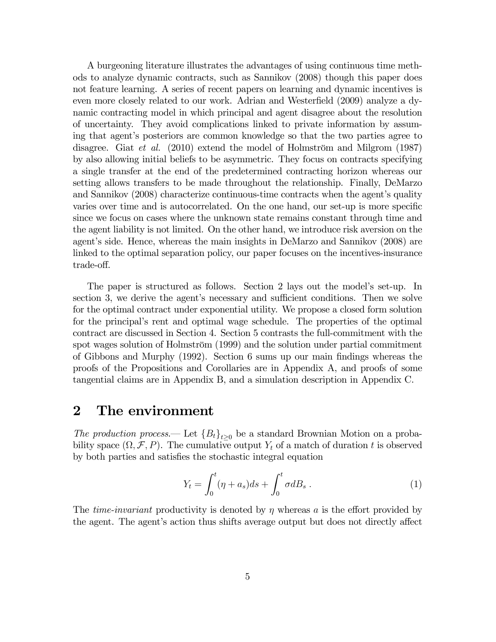A burgeoning literature illustrates the advantages of using continuous time methods to analyze dynamic contracts, such as Sannikov (2008) though this paper does not feature learning. A series of recent papers on learning and dynamic incentives is even more closely related to our work. Adrian and Westerfield (2009) analyze a dynamic contracting model in which principal and agent disagree about the resolution of uncertainty. They avoid complications linked to private information by assuming that agent's posteriors are common knowledge so that the two parties agree to disagree. Giat et al. (2010) extend the model of Holmström and Milgrom (1987) by also allowing initial beliefs to be asymmetric. They focus on contracts specifying a single transfer at the end of the predetermined contracting horizon whereas our setting allows transfers to be made throughout the relationship. Finally, DeMarzo and Sannikov (2008) characterize continuous-time contracts when the agent's quality varies over time and is autocorrelated. On the one hand, our set-up is more specific since we focus on cases where the unknown state remains constant through time and the agent liability is not limited. On the other hand, we introduce risk aversion on the agent's side. Hence, whereas the main insights in DeMarzo and Sannikov (2008) are linked to the optimal separation policy, our paper focuses on the incentives-insurance trade-off.

The paper is structured as follows. Section 2 lays out the model's set-up. In section 3, we derive the agent's necessary and sufficient conditions. Then we solve for the optimal contract under exponential utility. We propose a closed form solution for the principal's rent and optimal wage schedule. The properties of the optimal contract are discussed in Section 4. Section 5 contrasts the full-commitment with the spot wages solution of Holmström (1999) and the solution under partial commitment of Gibbons and Murphy (1992). Section 6 sums up our main findings whereas the proofs of the Propositions and Corollaries are in Appendix A, and proofs of some tangential claims are in Appendix B, and a simulation description in Appendix C.

### 2 The environment

The production process.— Let  ${B_t}_{t>0}$  be a standard Brownian Motion on a probability space  $(\Omega, \mathcal{F}, P)$ . The cumulative output  $Y_t$  of a match of duration t is observed by both parties and satisfies the stochastic integral equation

$$
Y_t = \int_0^t (\eta + a_s)ds + \int_0^t \sigma dB_s \ . \tag{1}
$$

The *time-invariant* productivity is denoted by  $\eta$  whereas a is the effort provided by the agent. The agent's action thus shifts average output but does not directly affect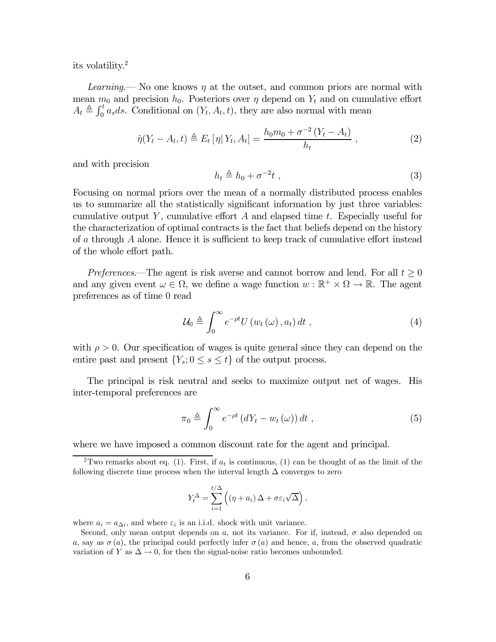its volatility.2

Learning.— No one knows  $\eta$  at the outset, and common priors are normal with mean  $m_0$  and precision  $h_0$ . Posteriors over  $\eta$  depend on  $Y_t$  and on cumulative effort  $A_t \triangleq \int_0^t a_s ds$ . Conditional on  $(Y_t, A_t, t)$ , they are also normal with mean

$$
\hat{\eta}(Y_t - A_t, t) \triangleq E_t [\eta | Y_t, A_t] = \frac{h_0 m_0 + \sigma^{-2} (Y_t - A_t)}{h_t} , \qquad (2)
$$

and with precision

$$
h_t \triangleq h_0 + \sigma^{-2}t \tag{3}
$$

Focusing on normal priors over the mean of a normally distributed process enables us to summarize all the statistically significant information by just three variables: cumulative output Y, cumulative effort A and elapsed time  $t$ . Especially useful for the characterization of optimal contracts is the fact that beliefs depend on the history of a through A alone. Hence it is sufficient to keep track of cumulative effort instead of the whole effort path.

Preferences.—The agent is risk averse and cannot borrow and lend. For all  $t \geq 0$ and any given event  $\omega \in \Omega$ , we define a wage function  $w : \mathbb{R}^+ \times \Omega \to \mathbb{R}$ . The agent preferences as of time 0 read

$$
\mathcal{U}_0 \triangleq \int_0^\infty e^{-\rho t} U(w_t(\omega), a_t) dt , \qquad (4)
$$

with  $\rho > 0$ . Our specification of wages is quite general since they can depend on the entire past and present  $\{Y_s; 0 \le s \le t\}$  of the output process.

The principal is risk neutral and seeks to maximize output net of wages. His inter-temporal preferences are

$$
\pi_0 \triangleq \int_0^\infty e^{-\rho t} \left( dY_t - w_t(\omega) \right) dt , \qquad (5)
$$

where we have imposed a common discount rate for the agent and principal.

$$
Y_t^{\Delta} = \sum_{i=1}^{t/\Delta} \left( (\eta + a_i) \Delta + \sigma \varepsilon_i \sqrt{\Delta} \right),
$$

where  $a_i = a_{\Delta i}$ , and where  $\varepsilon_i$  is an i.i.d. shock with unit variance.

<sup>&</sup>lt;sup>2</sup>Two remarks about eq. (1). First, if  $a_t$  is continuous, (1) can be thought of as the limit of the following discrete time process when the interval length  $\Delta$  converges to zero

Second, only mean output depends on a, not its variance. For if, instead,  $\sigma$  also depended on a, say as  $\sigma(a)$ , the principal could perfectly infer  $\sigma(a)$  and hence, a, from the observed quadratic variation of Y as  $\Delta \rightarrow 0$ , for then the signal-noise ratio becomes unbounded.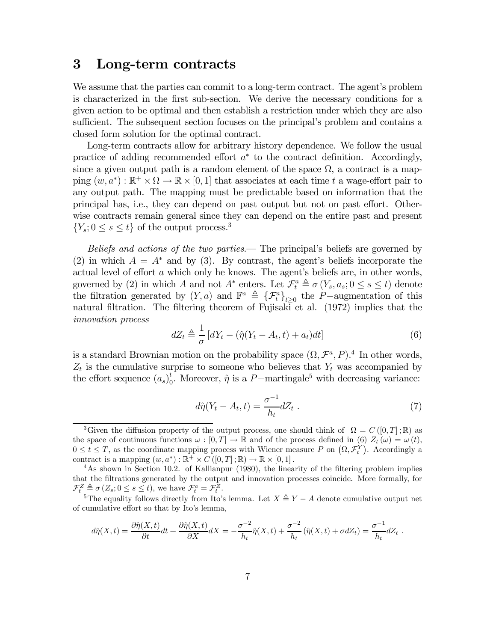### 3 Long-term contracts

We assume that the parties can commit to a long-term contract. The agent's problem is characterized in the first sub-section. We derive the necessary conditions for a given action to be optimal and then establish a restriction under which they are also sufficient. The subsequent section focuses on the principal's problem and contains a closed form solution for the optimal contract.

Long-term contracts allow for arbitrary history dependence. We follow the usual practice of adding recommended effort  $a^*$  to the contract definition. Accordingly, since a given output path is a random element of the space  $\Omega$ , a contract is a mapping  $(w, a^*) : \mathbb{R}^+ \times \Omega \to \mathbb{R} \times [0, 1]$  that associates at each time t a wage-effort pair to any output path. The mapping must be predictable based on information that the principal has, i.e., they can depend on past output but not on past effort. Otherwise contracts remain general since they can depend on the entire past and present  ${Y_s; 0 \lt s \lt t}$  of the output process.<sup>3</sup>

Beliefs and actions of the two parties.— The principal's beliefs are governed by (2) in which  $A = A^*$  and by (3). By contrast, the agent's beliefs incorporate the actual level of effort a which only he knows. The agent's beliefs are, in other words, governed by (2) in which A and not  $A^*$  enters. Let  $\mathcal{F}_t^a \triangleq \sigma(Y_s, a_s; 0 \le s \le t)$  denote the filtration generated by  $(Y, a)$  and  $\mathbb{F}^a \triangleq {\{\mathcal{F}^a_t\}}_{t\geq 0}$  the P-augmentation of this natural filtration. The filtering theorem of Fujisaki et al. (1972) implies that the innovation process

$$
dZ_t \triangleq \frac{1}{\sigma} \left[ dY_t - (\hat{\eta}(Y_t - A_t, t) + a_t) dt \right]
$$
\n(6)

is a standard Brownian motion on the probability space  $(\Omega, \mathcal{F}^a, P)$ .<sup>4</sup> In other words,  $Z_t$  is the cumulative surprise to someone who believes that  $Y_t$  was accompanied by the effort sequence  $(a_s)_0^t$ . Moreover,  $\hat{\eta}$  is a P-martingale<sup>5</sup> with decreasing variance:

$$
d\hat{\eta}(Y_t - A_t, t) = \frac{\sigma^{-1}}{h_t} dZ_t \tag{7}
$$

$$
d\hat{\eta}(X,t) = \frac{\partial \hat{\eta}(X,t)}{\partial t}dt + \frac{\partial \hat{\eta}(X,t)}{\partial X}dX = -\frac{\sigma^{-2}}{h_t}\hat{\eta}(X,t) + \frac{\sigma^{-2}}{h_t}(\hat{\eta}(X,t) + \sigma dZ_t) = \frac{\sigma^{-1}}{h_t}dZ_t.
$$

<sup>&</sup>lt;sup>3</sup>Given the diffusion property of the output process, one should think of  $\Omega = C([0,T];\mathbb{R})$  as the space of continuous functions  $\omega : [0, T] \to \mathbb{R}$  and of the process defined in (6)  $Z_t(\omega) = \omega(t)$ ,  $0 \leq t \leq T$ , as the coordinate mapping process with Wiener measure P on  $(\Omega, \mathcal{F}_t^Y)$ . Accordingly a contract is a mapping  $(w, a^*) : \mathbb{R}^+ \times C([0, T]; \mathbb{R}) \to \mathbb{R} \times [0, 1]$ .<br><sup>4</sup>As shown in Section 10.2. of Kallianpur (1980), the linearity of the filtering problem implies

that the filtrations generated by the output and innovation processes coincide. More formally, for  $\mathcal{F}^Z_t \triangleq \sigma(Z_s; 0 \leq s \leq t)$ , we have  $\mathcal{F}^a_t = \mathcal{F}^Z_t$ 

<sup>&</sup>lt;sup>5</sup>The equality follows directly from Ito's lemma. Let  $X \triangleq Y - A$  denote cumulative output net of cumulative effort so that by Ito's lemma,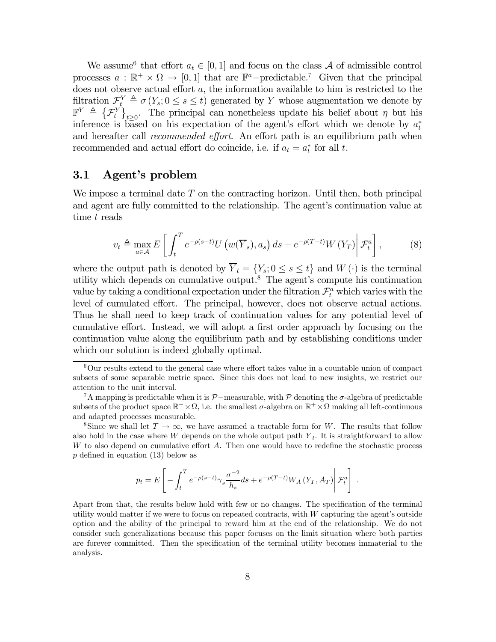We assume<sup>6</sup> that effort  $a_t \in [0,1]$  and focus on the class A of admissible control processes  $a : \mathbb{R}^+ \times \Omega \to [0, 1]$  that are  $\mathbb{F}^a$ -predictable.<sup>7</sup> Given that the principal does not observe actual effort a, the information available to him is restricted to the filtration  $\mathcal{F}_t^Y \triangleq \sigma(Y_s; 0 \le s \le t)$  generated by Y whose augmentation we denote by  $\mathbb{F}^{Y} \triangleq {\{\mathcal{F}_{t}^{Y}\}}_{t\geq0}$ . The principal can nonetheless update his belief about  $\eta$  but his inference is based on his expectation of the agent's effort which we denote by  $a_t^*$ and hereafter call *recommended effort*. An effort path is an equilibrium path when recommended and actual effort do coincide, i.e. if  $a_t = a_t^*$  for all t.

#### 3.1 Agent's problem

We impose a terminal date  $T$  on the contracting horizon. Until then, both principal and agent are fully committed to the relationship. The agent's continuation value at time t reads

$$
v_t \triangleq \max_{a \in \mathcal{A}} E\left[\int_t^T e^{-\rho(s-t)} U\left(w(\overline{Y}_s), a_s\right) ds + e^{-\rho(T-t)} W\left(Y_T\right) \middle| \mathcal{F}_t^a\right],\tag{8}
$$

where the output path is denoted by  $\overline{Y}_t = \{Y_s : 0 \le s \le t\}$  and  $W(\cdot)$  is the terminal utility which depends on cumulative output.8 The agent's compute his continuation value by taking a conditional expectation under the filtration  $\mathcal{F}^a_t$  which varies with the level of cumulated effort. The principal, however, does not observe actual actions. Thus he shall need to keep track of continuation values for any potential level of cumulative effort. Instead, we will adopt a first order approach by focusing on the continuation value along the equilibrium path and by establishing conditions under which our solution is indeed globally optimal.

$$
p_t = E\left[-\int_t^T e^{-\rho(s-t)} \gamma_s \frac{\sigma^{-2}}{h_s} ds + e^{-\rho(T-t)} W_A\left(Y_T, A_T\right) \middle| \mathcal{F}_t^a\right]
$$

.

 $6$ Our results extend to the general case where effort takes value in a countable union of compact subsets of some separable metric space. Since this does not lead to new insights, we restrict our attention to the unit interval.

<sup>&</sup>lt;sup>7</sup>A mapping is predictable when it is  $\mathcal{P}-$ measurable, with  $\mathcal P$  denoting the  $\sigma$ -algebra of predictable subsets of the product space  $\mathbb{R}^+ \times \Omega$ , i.e. the smallest  $\sigma$ -algebra on  $\mathbb{R}^+ \times \Omega$  making all left-continuous and adapted processes measurable.

<sup>&</sup>lt;sup>8</sup>Since we shall let  $T \to \infty$ , we have assumed a tractable form for W. The results that follow also hold in the case where W depends on the whole output path  $\overline{Y}_t$ . It is straightforward to allow  $W$  to also depend on cumulative effort  $A$ . Then one would have to redefine the stochastic process  $p$  defined in equation (13) below as

Apart from that, the results below hold with few or no changes. The specification of the terminal utility would matter if we were to focus on repeated contracts, with W capturing the agent's outside option and the ability of the principal to reward him at the end of the relationship. We do not consider such generalizations because this paper focuses on the limit situation where both parties are forever committed. Then the specification of the terminal utility becomes immaterial to the analysis.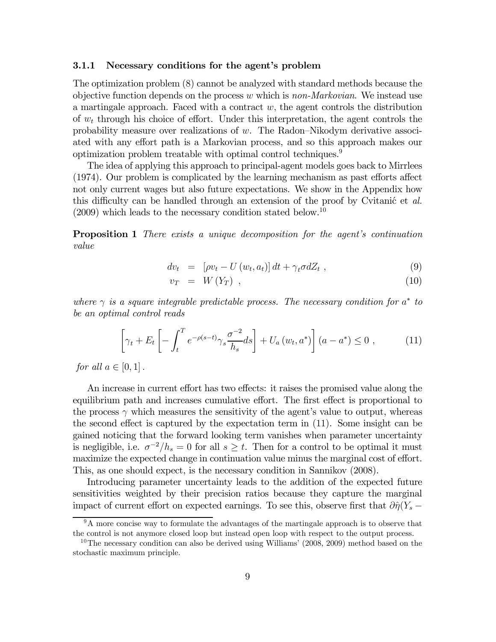#### 3.1.1 Necessary conditions for the agent's problem

The optimization problem (8) cannot be analyzed with standard methods because the objective function depends on the process  $w$  which is non-Markovian. We instead use a martingale approach. Faced with a contract  $w$ , the agent controls the distribution of  $w_t$  through his choice of effort. Under this interpretation, the agent controls the probability measure over realizations of w. The Radon—Nikodym derivative associated with any effort path is a Markovian process, and so this approach makes our optimization problem treatable with optimal control techniques.<sup>9</sup>

The idea of applying this approach to principal-agent models goes back to Mirrlees (1974). Our problem is complicated by the learning mechanism as past efforts affect not only current wages but also future expectations. We show in the Appendix how this difficulty can be handled through an extension of the proof by Cvitanic et  $al$ .  $(2009)$  which leads to the necessary condition stated below.<sup>10</sup>

**Proposition 1** There exists a unique decomposition for the agent's continuation value

$$
dv_t = [\rho v_t - U(w_t, a_t)] dt + \gamma_t \sigma dZ_t , \qquad (9)
$$

$$
v_T = W(Y_T) \t{,} \t(10)
$$

where  $\gamma$  is a square integrable predictable process. The necessary condition for  $a^*$  to be an optimal control reads

$$
\left[\gamma_t + E_t \left[ -\int_t^T e^{-\rho(s-t)} \gamma_s \frac{\sigma^{-2}}{h_s} ds \right] + U_a \left( w_t, a^* \right) \right] \left( a - a^* \right) \leq 0 , \tag{11}
$$

for all  $a \in [0, 1]$ .

An increase in current effort has two effects: it raises the promised value along the equilibrium path and increases cumulative effort. The first effect is proportional to the process  $\gamma$  which measures the sensitivity of the agent's value to output, whereas the second effect is captured by the expectation term in (11). Some insight can be gained noticing that the forward looking term vanishes when parameter uncertainty is negligible, i.e.  $\sigma^{-2}/h_s = 0$  for all  $s \geq t$ . Then for a control to be optimal it must maximize the expected change in continuation value minus the marginal cost of effort. This, as one should expect, is the necessary condition in Sannikov (2008).

Introducing parameter uncertainty leads to the addition of the expected future sensitivities weighted by their precision ratios because they capture the marginal impact of current effort on expected earnings. To see this, observe first that  $\partial \hat{\eta}(Y_s -$ 

 $9<sup>9</sup>A$  more concise way to formulate the advantages of the martingale approach is to observe that the control is not anymore closed loop but instead open loop with respect to the output process.

<sup>&</sup>lt;sup>10</sup>The necessary condition can also be derived using Williams' (2008, 2009) method based on the stochastic maximum principle.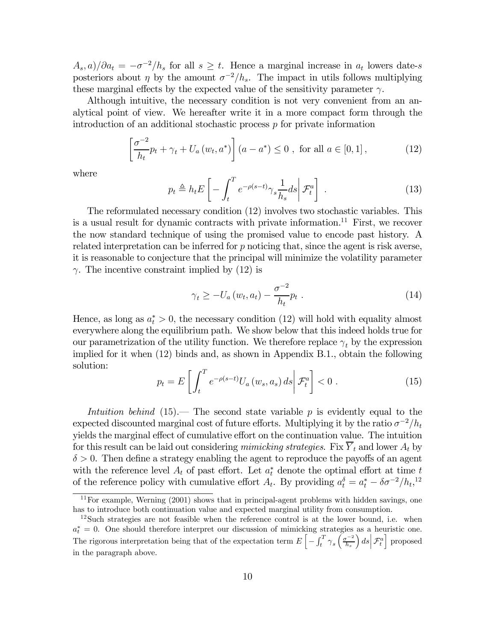$A_s$ , a)/ $\partial a_t = -\sigma^{-2}/h_s$  for all  $s \geq t$ . Hence a marginal increase in  $a_t$  lowers date-s posteriors about  $\eta$  by the amount  $\sigma^{-2}/h_s$ . The impact in utils follows multiplying these marginal effects by the expected value of the sensitivity parameter  $\gamma$ .

Although intuitive, the necessary condition is not very convenient from an analytical point of view. We hereafter write it in a more compact form through the introduction of an additional stochastic process  $p$  for private information

$$
\left[\frac{\sigma^{-2}}{h_t}p_t + \gamma_t + U_a(w_t, a^*)\right](a - a^*) \le 0, \text{ for all } a \in [0, 1],
$$
 (12)

where

$$
p_t \triangleq h_t E \left[ - \int_t^T e^{-\rho(s-t)} \gamma_s \frac{1}{h_s} ds \middle| \mathcal{F}_t^a \right] \,. \tag{13}
$$

The reformulated necessary condition (12) involves two stochastic variables. This is a usual result for dynamic contracts with private information.<sup>11</sup> First, we recover the now standard technique of using the promised value to encode past history. A related interpretation can be inferred for  $p$  noticing that, since the agent is risk averse, it is reasonable to conjecture that the principal will minimize the volatility parameter  $\gamma$ . The incentive constraint implied by (12) is

$$
\gamma_t \ge -U_a(w_t, a_t) - \frac{\sigma^{-2}}{h_t} p_t . \tag{14}
$$

Hence, as long as  $a_t^* > 0$ , the necessary condition (12) will hold with equality almost everywhere along the equilibrium path. We show below that this indeed holds true for our parametrization of the utility function. We therefore replace  $\gamma_t$  by the expression implied for it when (12) binds and, as shown in Appendix B.1., obtain the following solution:

$$
p_t = E\left[\int_t^T e^{-\rho(s-t)} U_a(w_s, a_s) ds \middle| \mathcal{F}_t^a\right] < 0. \tag{15}
$$

Intuition behind  $(15)$ . The second state variable p is evidently equal to the expected discounted marginal cost of future efforts. Multiplying it by the ratio  $\sigma^{-2}/h_t$ yields the marginal effect of cumulative effort on the continuation value. The intuition for this result can be laid out considering mimicking strategies. Fix  $\overline{Y}_t$  and lower  $A_t$  by  $\delta > 0$ . Then define a strategy enabling the agent to reproduce the payoffs of an agent with the reference level  $A_t$  of past effort. Let  $a_t^*$  denote the optimal effort at time t of the reference policy with cumulative effort  $A_t$ . By providing  $a_t^{\delta} = a_t^* - \delta \sigma^{-2}/h_t$ ,<sup>12</sup>

 $11$  For example, Werning  $(2001)$  shows that in principal-agent problems with hidden savings, one has to introduce both continuation value and expected marginal utility from consumption.

<sup>&</sup>lt;sup>12</sup>Such strategies are not feasible when the reference control is at the lower bound, i.e. when  $a_t^* = 0$ . One should therefore interpret our discussion of mimicking strategies as a heuristic one. The rigorous interpretation being that of the expectation term  $E\left[-\int_t^T \gamma_s \left(\frac{\sigma^{-2}}{h_s}\right)\right]$  $\left| \mathcal{F}^a_t \right|$  proposed in the paragraph above.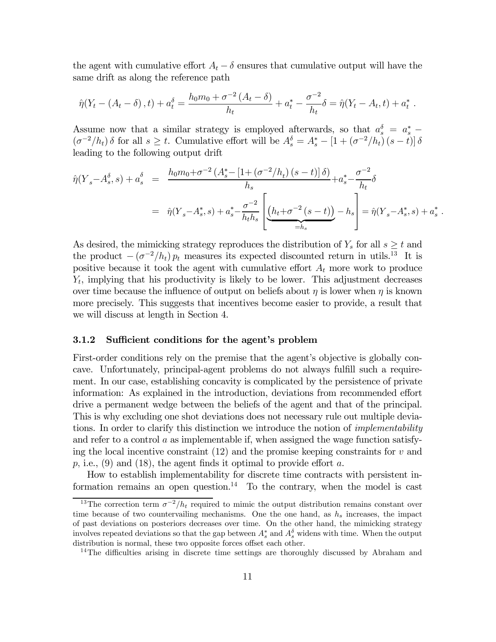the agent with cumulative effort  $A_t - \delta$  ensures that cumulative output will have the same drift as along the reference path

$$
\hat{\eta}(Y_t - (A_t - \delta), t) + a_t^{\delta} = \frac{h_0 m_0 + \sigma^{-2} (A_t - \delta)}{h_t} + a_t^* - \frac{\sigma^{-2}}{h_t} \delta = \hat{\eta}(Y_t - A_t, t) + a_t^*.
$$

Assume now that a similar strategy is employed afterwards, so that  $a_s^{\delta} = a_s^* - a_s^*$  $(\sigma^{-2}/h_t)\delta$  for all  $s \geq t$ . Cumulative effort will be  $A_s^{\delta} = A_s^* - [1 + (\sigma^{-2}/h_t)(s-t)]\delta$ leading to the following output drift

$$
\hat{\eta}(Y_s - A_s^{\delta}, s) + a_s^{\delta} = \frac{h_0 m_0 + \sigma^{-2} (A_s^* - [1 + (\sigma^{-2}/h_t) (s - t)] \delta)}{h_s} + a_s^* - \frac{\sigma^{-2}}{h_t} \delta
$$
  
=  $\hat{\eta}(Y_s - A_s^*, s) + a_s^* - \frac{\sigma^{-2}}{h_t h_s} \left[ \underbrace{(h_t + \sigma^{-2} (s - t))}_{=h_s} - h_s \right] = \hat{\eta}(Y_s - A_s^*, s) + a_s^*.$ 

As desired, the mimicking strategy reproduces the distribution of  $Y_s$  for all  $s \geq t$  and the product  $-(\sigma^{-2}/h_t)p_t$  measures its expected discounted return in utils.<sup>13</sup> It is positive because it took the agent with cumulative effort  $A_t$  more work to produce  $Y_t$ , implying that his productivity is likely to be lower. This adjustment decreases over time because the influence of output on beliefs about  $\eta$  is lower when  $\eta$  is known more precisely. This suggests that incentives become easier to provide, a result that we will discuss at length in Section 4.

#### 3.1.2 Sufficient conditions for the agent's problem

First-order conditions rely on the premise that the agent's objective is globally concave. Unfortunately, principal-agent problems do not always fulfill such a requirement. In our case, establishing concavity is complicated by the persistence of private information: As explained in the introduction, deviations from recommended effort drive a permanent wedge between the beliefs of the agent and that of the principal. This is why excluding one shot deviations does not necessary rule out multiple deviations. In order to clarify this distinction we introduce the notion of *implementability* and refer to a control a as implementable if, when assigned the wage function satisfying the local incentive constraint  $(12)$  and the promise keeping constraints for v and  $p$ , i.e., (9) and (18), the agent finds it optimal to provide effort a.

How to establish implementability for discrete time contracts with persistent information remains an open question.<sup>14</sup> To the contrary, when the model is cast

<sup>&</sup>lt;sup>13</sup>The correction term  $\sigma^{-2}/h_t$  required to mimic the output distribution remains constant over time because of two countervailing mechanisms. One the one hand, as  $h_s$  increases, the impact of past deviations on posteriors decreases over time. On the other hand, the mimicking strategy involves repeated deviations so that the gap between  $A_s^*$  and  $A_s^{\delta}$  widens with time. When the output distribution is normal, these two opposite forces offset each other.

<sup>&</sup>lt;sup>14</sup>The difficulties arising in discrete time settings are thoroughly discussed by Abraham and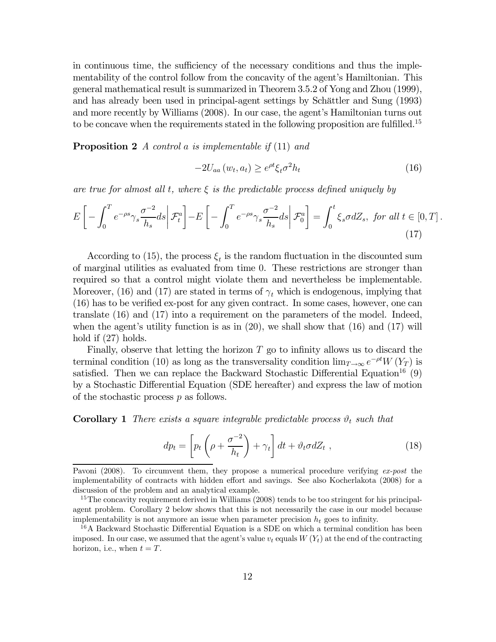in continuous time, the sufficiency of the necessary conditions and thus the implementability of the control follow from the concavity of the agent's Hamiltonian. This general mathematical result is summarized in Theorem 3.5.2 of Yong and Zhou (1999), and has already been used in principal-agent settings by Schättler and Sung (1993) and more recently by Williams (2008). In our case, the agent's Hamiltonian turns out to be concave when the requirements stated in the following proposition are fulfilled.15

**Proposition 2** A control a is implementable if  $(11)$  and

$$
-2U_{aa}(w_t, a_t) \ge e^{\rho t} \xi_t \sigma^2 h_t \tag{16}
$$

are true for almost all t, where  $\xi$  is the predictable process defined uniquely by

$$
E\left[-\int_0^T e^{-\rho s} \gamma_s \frac{\sigma^{-2}}{h_s} ds \middle| \mathcal{F}_t^a\right] - E\left[-\int_0^T e^{-\rho s} \gamma_s \frac{\sigma^{-2}}{h_s} ds \middle| \mathcal{F}_0^a\right] = \int_0^t \xi_s \sigma dZ_s, \text{ for all } t \in [0, T].
$$
\n(17)

According to (15), the process  $\xi_t$  is the random fluctuation in the discounted sum of marginal utilities as evaluated from time 0. These restrictions are stronger than required so that a control might violate them and nevertheless be implementable. Moreover, (16) and (17) are stated in terms of  $\gamma_t$  which is endogenous, implying that (16) has to be verified ex-post for any given contract. In some cases, however, one can translate (16) and (17) into a requirement on the parameters of the model. Indeed, when the agent's utility function is as in  $(20)$ , we shall show that  $(16)$  and  $(17)$  will hold if (27) holds.

Finally, observe that letting the horizon  $T$  go to infinity allows us to discard the terminal condition (10) as long as the transversality condition  $\lim_{T\to\infty}e^{-\rho t}W(Y_T)$  is satisfied. Then we can replace the Backward Stochastic Differential Equation<sup>16</sup> (9) by a Stochastic Differential Equation (SDE hereafter) and express the law of motion of the stochastic process p as follows.

**Corollary 1** There exists a square integrable predictable process  $\vartheta_t$  such that

$$
dp_t = \left[ p_t \left( \rho + \frac{\sigma^{-2}}{h_t} \right) + \gamma_t \right] dt + \vartheta_t \sigma dZ_t , \qquad (18)
$$

Pavoni (2008). To circumvent them, they propose a numerical procedure verifying ex-post the implementability of contracts with hidden effort and savings. See also Kocherlakota (2008) for a discussion of the problem and an analytical example.

 $15$ The concavity requirement derived in Williams (2008) tends to be too stringent for his principalagent problem. Corollary 2 below shows that this is not necessarily the case in our model because implementability is not anymore an issue when parameter precision  $h_t$  goes to infinity.

<sup>16</sup>A Backward Stochastic Differential Equation is a SDE on which a terminal condition has been imposed. In our case, we assumed that the agent's value  $v_t$  equals  $W(Y_t)$  at the end of the contracting horizon, i.e., when  $t = T$ .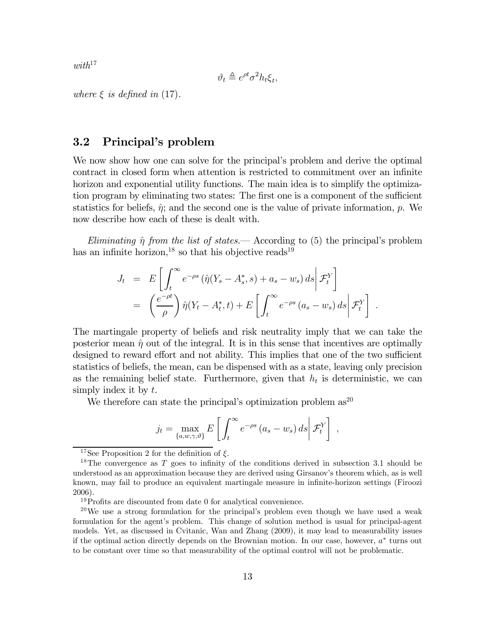$with^{17}$ 

$$
\vartheta_t \triangleq e^{\rho t} \sigma^2 h_t \xi_t,
$$

where  $\xi$  is defined in (17).

#### 3.2 Principal's problem

We now show how one can solve for the principal's problem and derive the optimal contract in closed form when attention is restricted to commitment over an infinite horizon and exponential utility functions. The main idea is to simplify the optimization program by eliminating two states: The first one is a component of the sufficient statistics for beliefs,  $\hat{\eta}$ ; and the second one is the value of private information, p. We now describe how each of these is dealt with.

Eliminating  $\hat{\eta}$  from the list of states.— According to (5) the principal's problem has an infinite horizon,<sup>18</sup> so that his objective reads<sup>19</sup>

$$
J_t = E\left[\int_t^{\infty} e^{-\rho s} \left(\hat{\eta}(Y_s - A_s^*, s) + a_s - w_s\right) ds \middle| \mathcal{F}_t^Y\right]
$$
  
=  $\left(\frac{e^{-\rho t}}{\rho}\right) \hat{\eta}(Y_t - A_t^*, t) + E\left[\int_t^{\infty} e^{-\rho s} \left(a_s - w_s\right) ds \middle| \mathcal{F}_t^Y\right].$ 

The martingale property of beliefs and risk neutrality imply that we can take the posterior mean  $\hat{\eta}$  out of the integral. It is in this sense that incentives are optimally designed to reward effort and not ability. This implies that one of the two sufficient statistics of beliefs, the mean, can be dispensed with as a state, leaving only precision as the remaining belief state. Furthermore, given that  $h_t$  is deterministic, we can simply index it by  $t$ .

We therefore can state the principal's optimization problem  $as^{20}$ 

$$
j_t = \max_{\{a,w,\gamma,\vartheta\}} E\left[\int_t^{\infty} e^{-\rho s} (a_s - w_s) ds \middle| \mathcal{F}_t^Y\right],
$$

<sup>&</sup>lt;sup>17</sup>See Proposition 2 for the definition of  $\xi$ .

<sup>&</sup>lt;sup>18</sup>The convergence as  $T$  goes to infinity of the conditions derived in subsection 3.1 should be understood as an approximation because they are derived using Girsanov's theorem which, as is well known, may fail to produce an equivalent martingale measure in infinite-horizon settings (Firoozi 2006).

<sup>&</sup>lt;sup>19</sup>Profits are discounted from date 0 for analytical convenience.

 $^{20}$ We use a strong formulation for the principal's problem even though we have used a weak formulation for the agent's problem. This change of solution method is usual for principal-agent models. Yet, as discussed in Cvitanic, Wan and Zhang (2009), it may lead to measurability issues if the optimal action directly depends on the Brownian motion. In our case, however,  $a^*$  turns out to be constant over time so that measurability of the optimal control will not be problematic.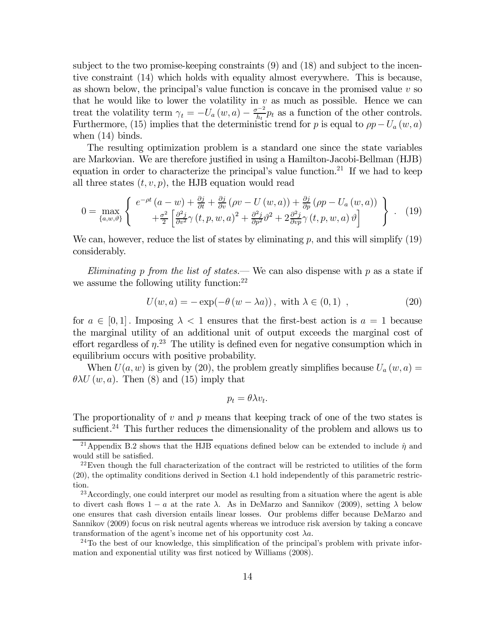subject to the two promise-keeping constraints (9) and (18) and subject to the incentive constraint (14) which holds with equality almost everywhere. This is because, as shown below, the principal's value function is concave in the promised value  $v$  so that he would like to lower the volatility in  $v$  as much as possible. Hence we can treat the volatility term  $\gamma_t = -U_a(w, a) - \frac{\sigma^{-2}}{h_t} p_t$  as a function of the other controls. Furthermore, (15) implies that the deterministic trend for p is equal to  $\rho p-U_a(w, a)$ when (14) binds.

The resulting optimization problem is a standard one since the state variables are Markovian. We are therefore justified in using a Hamilton-Jacobi-Bellman (HJB) equation in order to characterize the principal's value function.<sup>21</sup> If we had to keep all three states  $(t, v, p)$ , the HJB equation would read

$$
0 = \max_{\{a,w,\vartheta\}} \left\{ \begin{array}{c} e^{-\rho t} \left( a - w \right) + \frac{\partial j}{\partial t} + \frac{\partial j}{\partial v} \left( \rho v - U \left( w, a \right) \right) + \frac{\partial j}{\partial p} \left( \rho p - U_a \left( w, a \right) \right) \\ + \frac{\sigma^2}{2} \left[ \frac{\partial^2 j}{\partial v^2} \gamma \left( t, p, w, a \right)^2 + \frac{\partial^2 j}{\partial p^2} \vartheta^2 + 2 \frac{\partial^2 j}{\partial v^2} \gamma \left( t, p, w, a \right) \vartheta \right] \end{array} \right\} \ . \tag{19}
$$

We can, however, reduce the list of states by eliminating  $p$ , and this will simplify  $(19)$ considerably.

Eliminating p from the list of states.— We can also dispense with  $p$  as a state if we assume the following utility function: $^{22}$ 

$$
U(w, a) = -\exp(-\theta (w - \lambda a)), \text{ with } \lambda \in (0, 1) , \qquad (20)
$$

for  $a \in [0,1]$ . Imposing  $\lambda < 1$  ensures that the first-best action is  $a = 1$  because the marginal utility of an additional unit of output exceeds the marginal cost of effort regardless of  $\eta$ <sup>23</sup>. The utility is defined even for negative consumption which in equilibrium occurs with positive probability.

When  $U(a, w)$  is given by (20), the problem greatly simplifies because  $U_a(w, a) =$  $\theta \lambda U(w, a)$ . Then (8) and (15) imply that

$$
p_t = \theta \lambda v_t.
$$

The proportionality of  $v$  and  $p$  means that keeping track of one of the two states is sufficient.<sup>24</sup> This further reduces the dimensionality of the problem and allows us to

 $24$ To the best of our knowledge, this simplification of the principal's problem with private information and exponential utility was first noticed by Williams (2008).

<sup>&</sup>lt;sup>21</sup>Appendix B.2 shows that the HJB equations defined below can be extended to include  $\hat{\eta}$  and would still be satisfied.

 $22$ Even though the full characterization of the contract will be restricted to utilities of the form (20), the optimality conditions derived in Section 4.1 hold independently of this parametric restriction.

<sup>&</sup>lt;sup>23</sup> Accordingly, one could interpret our model as resulting from a situation where the agent is able to divert cash flows  $1 - a$  at the rate  $\lambda$ . As in DeMarzo and Sannikov (2009), setting  $\lambda$  below one ensures that cash diversion entails linear losses. Our problems differ because DeMarzo and Sannikov (2009) focus on risk neutral agents whereas we introduce risk aversion by taking a concave transformation of the agent's income net of his opportunity cost  $\lambda a$ .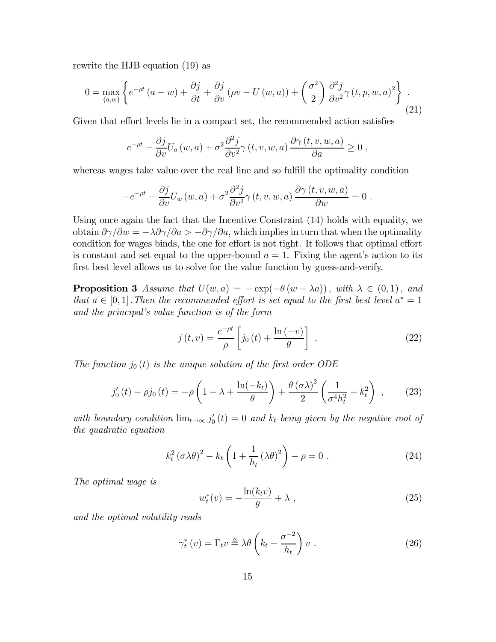rewrite the HJB equation (19) as

$$
0 = \max_{\{a,w\}} \left\{ e^{-\rho t} \left( a - w \right) + \frac{\partial j}{\partial t} + \frac{\partial j}{\partial v} \left( \rho v - U \left( w, a \right) \right) + \left( \frac{\sigma^2}{2} \right) \frac{\partial^2 j}{\partial v^2} \gamma \left( t, p, w, a \right)^2 \right\} \tag{21}
$$

Given that effort levels lie in a compact set, the recommended action satisfies

$$
e^{-\rho t} - \frac{\partial j}{\partial v} U_a(w, a) + \sigma^2 \frac{\partial^2 j}{\partial v^2} \gamma(t, v, w, a) \frac{\partial \gamma(t, v, w, a)}{\partial a} \ge 0 ,
$$

whereas wages take value over the real line and so fulfill the optimality condition

$$
-e^{-\rho t} - \frac{\partial j}{\partial v} U_w(w, a) + \sigma^2 \frac{\partial^2 j}{\partial v^2} \gamma(t, v, w, a) \frac{\partial \gamma(t, v, w, a)}{\partial w} = 0.
$$

Using once again the fact that the Incentive Constraint (14) holds with equality, we obtain  $\partial \gamma/\partial w = -\lambda \partial \gamma/\partial a > -\partial \gamma/\partial a$ , which implies in turn that when the optimality condition for wages binds, the one for effort is not tight. It follows that optimal effort is constant and set equal to the upper-bound  $a = 1$ . Fixing the agent's action to its first best level allows us to solve for the value function by guess-and-verify.

**Proposition 3** Assume that  $U(w, a) = -\exp(-\theta(w - \lambda a))$ , with  $\lambda \in (0, 1)$ , and that  $a \in [0,1]$ . Then the recommended effort is set equal to the first best level  $a^* = 1$ and the principal's value function is of the form

$$
j(t,v) = \frac{e^{-\rho t}}{\rho} \left[ j_0(t) + \frac{\ln(-v)}{\theta} \right] , \qquad (22)
$$

The function  $j_0(t)$  is the unique solution of the first order ODE

$$
j_0'(t) - \rho j_0(t) = -\rho \left( 1 - \lambda + \frac{\ln(-k_t)}{\theta} \right) + \frac{\theta (\sigma \lambda)^2}{2} \left( \frac{1}{\sigma^4 h_t^2} - k_t^2 \right) ,\qquad(23)
$$

with boundary condition  $\lim_{t\to\infty} j'_0(t)=0$  and  $k_t$  being given by the negative root of the quadratic equation

$$
k_t^2 (\sigma \lambda \theta)^2 - k_t \left( 1 + \frac{1}{h_t} (\lambda \theta)^2 \right) - \rho = 0.
$$
 (24)

The optimal wage is

$$
w_t^*(v) = -\frac{\ln(k_t v)}{\theta} + \lambda \t{, \t(25)}
$$

and the optimal volatility reads

$$
\gamma_t^*(v) = \Gamma_t v \triangleq \lambda \theta \left( k_t - \frac{\sigma^{-2}}{h_t} \right) v \ . \tag{26}
$$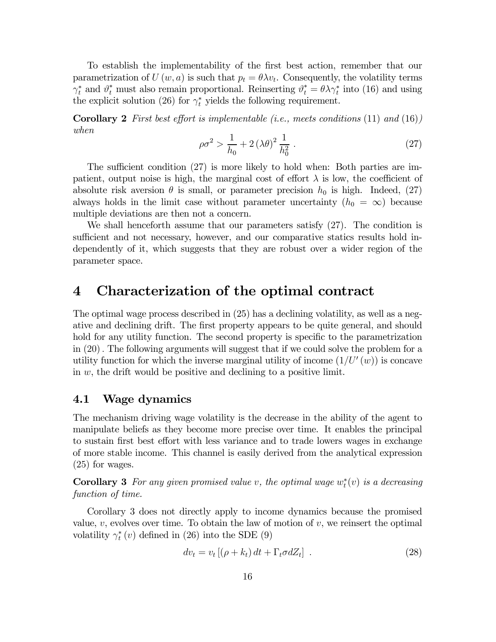To establish the implementability of the first best action, remember that our parametrization of  $U(w, a)$  is such that  $p_t = \theta \lambda v_t$ . Consequently, the volatility terms  $\gamma_t^*$  and  $\vartheta_t^*$  must also remain proportional. Reinserting  $\vartheta_t^* = \theta \lambda \gamma_t^*$  into (16) and using the explicit solution (26) for  $\gamma_t^*$  yields the following requirement.

**Corollary 2** First best effort is implementable (i.e., meets conditions  $(11)$  and  $(16)$ ) when

$$
\rho \sigma^2 > \frac{1}{h_0} + 2 \left(\lambda \theta\right)^2 \frac{1}{h_0^2} \tag{27}
$$

The sufficient condition (27) is more likely to hold when: Both parties are impatient, output noise is high, the marginal cost of effort  $\lambda$  is low, the coefficient of absolute risk aversion  $\theta$  is small, or parameter precision  $h_0$  is high. Indeed, (27) always holds in the limit case without parameter uncertainty  $(h_0 = \infty)$  because multiple deviations are then not a concern.

We shall henceforth assume that our parameters satisfy (27). The condition is sufficient and not necessary, however, and our comparative statics results hold independently of it, which suggests that they are robust over a wider region of the parameter space.

### 4 Characterization of the optimal contract

The optimal wage process described in (25) has a declining volatility, as well as a negative and declining drift. The first property appears to be quite general, and should hold for any utility function. The second property is specific to the parametrization in (20). The following arguments will suggest that if we could solve the problem for a utility function for which the inverse marginal utility of income  $(1/U'(w))$  is concave in  $w$ , the drift would be positive and declining to a positive limit.

#### 4.1 Wage dynamics

The mechanism driving wage volatility is the decrease in the ability of the agent to manipulate beliefs as they become more precise over time. It enables the principal to sustain first best effort with less variance and to trade lowers wages in exchange of more stable income. This channel is easily derived from the analytical expression (25) for wages.

**Corollary 3** For any given promised value v, the optimal wage  $w_t^*(v)$  is a decreasing function of time.

Corollary 3 does not directly apply to income dynamics because the promised value,  $v$ , evolves over time. To obtain the law of motion of  $v$ , we reinsert the optimal volatility  $\gamma_t^*(v)$  defined in (26) into the SDE (9)

$$
dv_t = v_t \left[ (\rho + k_t) dt + \Gamma_t \sigma dZ_t \right] \tag{28}
$$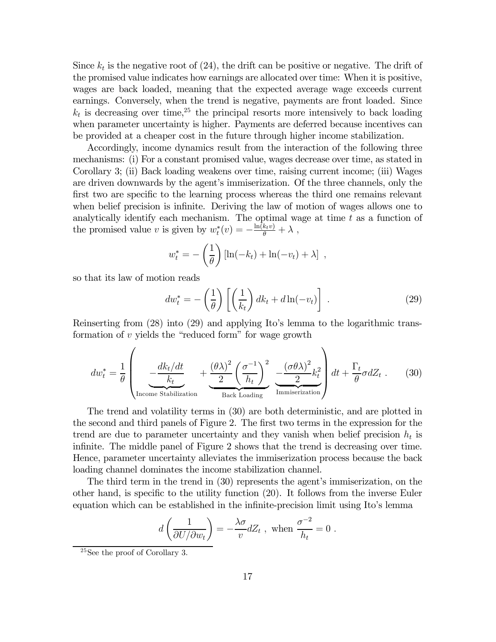Since  $k_t$  is the negative root of  $(24)$ , the drift can be positive or negative. The drift of the promised value indicates how earnings are allocated over time: When it is positive, wages are back loaded, meaning that the expected average wage exceeds current earnings. Conversely, when the trend is negative, payments are front loaded. Since  $k_t$  is decreasing over time,<sup>25</sup> the principal resorts more intensively to back loading when parameter uncertainty is higher. Payments are deferred because incentives can be provided at a cheaper cost in the future through higher income stabilization.

Accordingly, income dynamics result from the interaction of the following three mechanisms: (i) For a constant promised value, wages decrease over time, as stated in Corollary 3; (ii) Back loading weakens over time, raising current income; (iii) Wages are driven downwards by the agent's immiserization. Of the three channels, only the first two are specific to the learning process whereas the third one remains relevant when belief precision is infinite. Deriving the law of motion of wages allows one to analytically identify each mechanism. The optimal wage at time  $t$  as a function of the promised value v is given by  $w_t^*(v) = -\frac{\ln(k_t v)}{\theta} + \lambda$ ,

$$
w_t^* = -\left(\frac{1}{\theta}\right) \left[\ln(-k_t) + \ln(-v_t) + \lambda\right] ,
$$

so that its law of motion reads

$$
dw_t^* = -\left(\frac{1}{\theta}\right) \left[ \left(\frac{1}{k_t}\right) dk_t + d \ln(-v_t) \right] \tag{29}
$$

Reinserting from (28) into (29) and applying Ito's lemma to the logarithmic transformation of v yields the "reduced form" for wage growth

$$
dw_t^* = \frac{1}{\theta} \left( \underbrace{-\frac{dk_t/dt}{k_t}}_{\text{Income Stabilization}} + \underbrace{\frac{(\theta \lambda)^2}{2} \left(\frac{\sigma^{-1}}{h_t}\right)^2}_{\text{Back Loading}} \underbrace{-\frac{(\sigma \theta \lambda)^2}{2} k_t^2}_{\text{Immiserization}} \right) dt + \frac{\Gamma_t}{\theta} \sigma dZ_t \tag{30}
$$

The trend and volatility terms in (30) are both deterministic, and are plotted in the second and third panels of Figure 2. The first two terms in the expression for the trend are due to parameter uncertainty and they vanish when belief precision  $h_t$  is infinite. The middle panel of Figure 2 shows that the trend is decreasing over time. Hence, parameter uncertainty alleviates the immiserization process because the back loading channel dominates the income stabilization channel.

The third term in the trend in (30) represents the agent's immiserization, on the other hand, is specific to the utility function (20). It follows from the inverse Euler equation which can be established in the infinite-precision limit using Ito's lemma

$$
d\left(\frac{1}{\partial U/\partial w_t}\right) = -\frac{\lambda \sigma}{v} dZ_t , \text{ when } \frac{\sigma^{-2}}{h_t} = 0 .
$$

<sup>25</sup>See the proof of Corollary 3.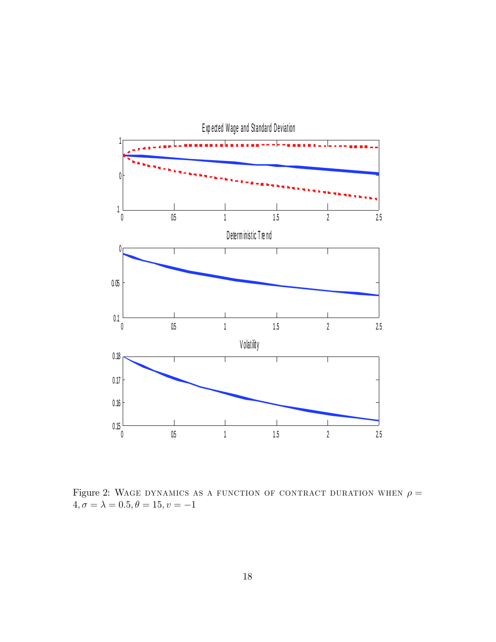

Figure 2: WAGE DYNAMICS AS A FUNCTION OF CONTRACT DURATION WHEN  $\rho =$  $4, \sigma = \lambda = 0.5, \theta = 15, \upsilon = -1$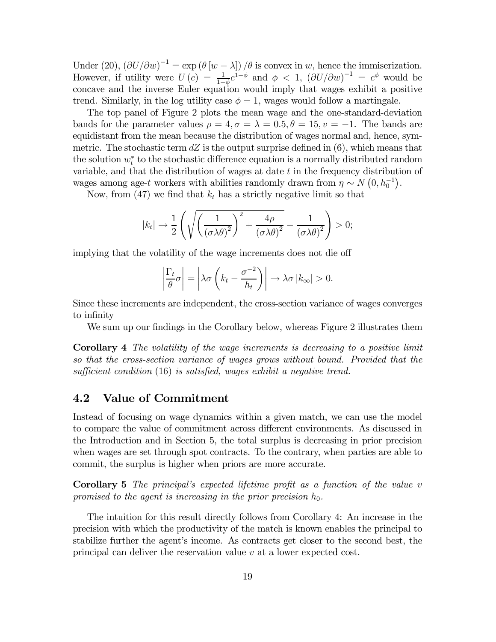Under (20),  $(\partial U/\partial w)^{-1} = \exp (\theta [w - \lambda])/\theta$  is convex in w, hence the immiserization. However, if utility were  $U(c) = \frac{1}{1-\phi}c^{1-\phi}$  and  $\phi < 1$ ,  $(\partial U/\partial w)^{-1} = c^{\phi}$  would be concave and the inverse Euler equation would imply that wages exhibit a positive trend. Similarly, in the log utility case  $\phi = 1$ , wages would follow a martingale.

The top panel of Figure 2 plots the mean wage and the one-standard-deviation bands for the parameter values  $\rho = 4, \sigma = \lambda = 0.5, \theta = 15, \nu = -1$ . The bands are equidistant from the mean because the distribution of wages normal and, hence, symmetric. The stochastic term  $dZ$  is the output surprise defined in  $(6)$ , which means that the solution  $w_t^*$  to the stochastic difference equation is a normally distributed random variable, and that the distribution of wages at date t in the frequency distribution of wages among age-t workers with abilities randomly drawn from  $\eta \sim N(0, h_0^{-1})$ .

Now, from (47) we find that  $k_t$  has a strictly negative limit so that

$$
|k_t| \to \frac{1}{2} \left( \sqrt{\left(\frac{1}{(\sigma \lambda \theta)^2}\right)^2 + \frac{4\rho}{(\sigma \lambda \theta)^2}} - \frac{1}{(\sigma \lambda \theta)^2} \right) > 0;
$$

implying that the volatility of the wage increments does not die off

$$
\left|\frac{\Gamma_t}{\theta}\sigma\right| = \left|\lambda\sigma\left(k_t - \frac{\sigma^{-2}}{h_t}\right)\right| \to \lambda\sigma |k_\infty| > 0.
$$

Since these increments are independent, the cross-section variance of wages converges to infinity

We sum up our findings in the Corollary below, whereas Figure 2 illustrates them

Corollary 4 The volatility of the wage increments is decreasing to a positive limit so that the cross-section variance of wages grows without bound. Provided that the sufficient condition (16) is satisfied, wages exhibit a negative trend.

#### 4.2 Value of Commitment

Instead of focusing on wage dynamics within a given match, we can use the model to compare the value of commitment across different environments. As discussed in the Introduction and in Section 5, the total surplus is decreasing in prior precision when wages are set through spot contracts. To the contrary, when parties are able to commit, the surplus is higher when priors are more accurate.

Corollary 5 The principal's expected lifetime profit as a function of the value v promised to the agent is increasing in the prior precision  $h_0$ .

The intuition for this result directly follows from Corollary 4: An increase in the precision with which the productivity of the match is known enables the principal to stabilize further the agent's income. As contracts get closer to the second best, the principal can deliver the reservation value v at a lower expected cost.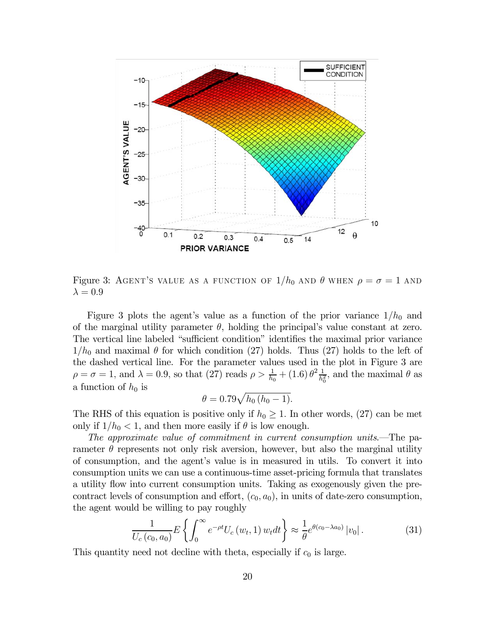

Figure 3: AGENT'S VALUE AS A FUNCTION OF  $1/h_0$  and  $\theta$  when  $\rho = \sigma = 1$  and  $\lambda = 0.9$ 

Figure 3 plots the agent's value as a function of the prior variance  $1/h_0$  and of the marginal utility parameter  $\theta$ , holding the principal's value constant at zero. The vertical line labeled "sufficient condition" identifies the maximal prior variance  $1/h_0$  and maximal  $\theta$  for which condition (27) holds. Thus (27) holds to the left of the dashed vertical line. For the parameter values used in the plot in Figure 3 are  $\rho = \sigma = 1$ , and  $\lambda = 0.9$ , so that (27) reads  $\rho > \frac{1}{h_0} + (1.6) \theta^2 \frac{1}{h_0^2}$ , and the maximal  $\theta$  as a function of  $h_0$  is

$$
\theta = 0.79 \sqrt{h_0 (h_0 - 1)}.
$$

The RHS of this equation is positive only if  $h_0 \geq 1$ . In other words, (27) can be met only if  $1/h_0 < 1$ , and then more easily if  $\theta$  is low enough.

The approximate value of commitment in current consumption units.–The parameter  $\theta$  represents not only risk aversion, however, but also the marginal utility of consumption, and the agent's value is in measured in utils. To convert it into consumption units we can use a continuous-time asset-pricing formula that translates a utility flow into current consumption units. Taking as exogenously given the precontract levels of consumption and effort,  $(c_0, a_0)$ , in units of date-zero consumption, the agent would be willing to pay roughly

$$
\frac{1}{U_c\left(c_0, a_0\right)} E\left\{ \int_0^\infty e^{-\rho t} U_c\left(w_t, 1\right) w_t dt \right\} \approx \frac{1}{\theta} e^{\theta(c_0 - \lambda a_0)} |v_0| \,. \tag{31}
$$

This quantity need not decline with theta, especially if  $c_0$  is large.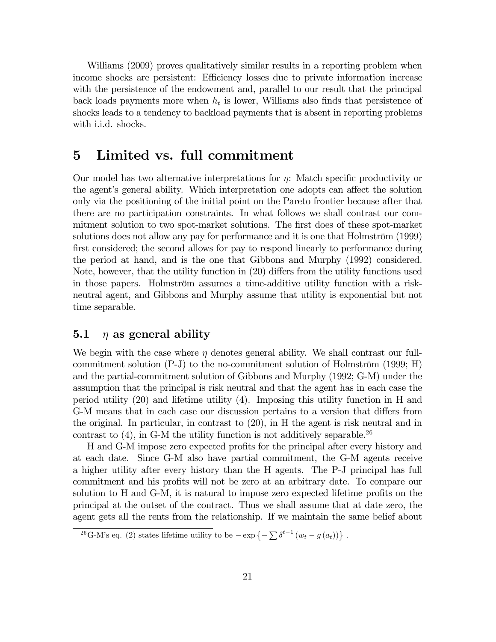Williams (2009) proves qualitatively similar results in a reporting problem when income shocks are persistent: Efficiency losses due to private information increase with the persistence of the endowment and, parallel to our result that the principal back loads payments more when  $h_t$  is lower, Williams also finds that persistence of shocks leads to a tendency to backload payments that is absent in reporting problems with i.i.d. shocks.

### 5 Limited vs. full commitment

Our model has two alternative interpretations for  $\eta$ : Match specific productivity or the agent's general ability. Which interpretation one adopts can affect the solution only via the positioning of the initial point on the Pareto frontier because after that there are no participation constraints. In what follows we shall contrast our commitment solution to two spot-market solutions. The first does of these spot-market solutions does not allow any pay for performance and it is one that Holmström (1999) first considered; the second allows for pay to respond linearly to performance during the period at hand, and is the one that Gibbons and Murphy (1992) considered. Note, however, that the utility function in (20) differs from the utility functions used in those papers. Holmström assumes a time-additive utility function with a riskneutral agent, and Gibbons and Murphy assume that utility is exponential but not time separable.

### 5.1  $\eta$  as general ability

We begin with the case where  $\eta$  denotes general ability. We shall contrast our fullcommitment solution (P-J) to the no-commitment solution of Holmström (1999; H) and the partial-commitment solution of Gibbons and Murphy (1992; G-M) under the assumption that the principal is risk neutral and that the agent has in each case the period utility (20) and lifetime utility (4). Imposing this utility function in H and G-M means that in each case our discussion pertains to a version that differs from the original. In particular, in contrast to (20), in H the agent is risk neutral and in contrast to  $(4)$ , in G-M the utility function is not additively separable.<sup>26</sup>

H and G-M impose zero expected profits for the principal after every history and at each date. Since G-M also have partial commitment, the G-M agents receive a higher utility after every history than the H agents. The P-J principal has full commitment and his profits will not be zero at an arbitrary date. To compare our solution to H and G-M, it is natural to impose zero expected lifetime profits on the principal at the outset of the contract. Thus we shall assume that at date zero, the agent gets all the rents from the relationship. If we maintain the same belief about

<sup>&</sup>lt;sup>26</sup>G-M's eq. (2) states lifetime utility to be  $-\exp\{-\sum \delta^{t-1}(w_t - g(a_t))\}$ .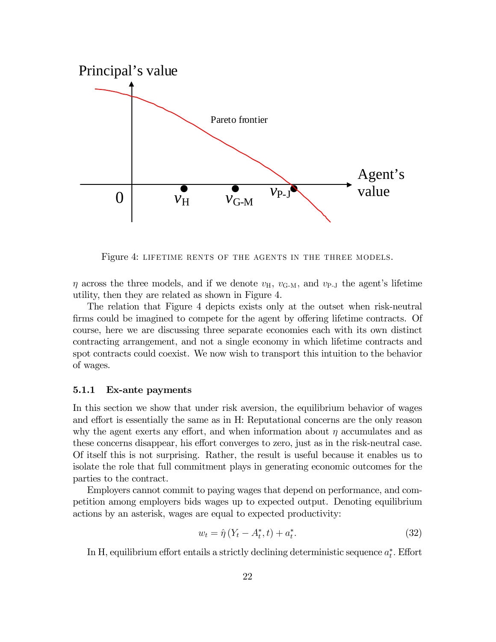

Figure 4: lifetime rents of the agents in the three models.

 $\eta$  across the three models, and if we denote  $v_{\text{H}}$ ,  $v_{\text{G-M}}$ , and  $v_{\text{P-I}}$  the agent's lifetime utility, then they are related as shown in Figure 4.

The relation that Figure 4 depicts exists only at the outset when risk-neutral firms could be imagined to compete for the agent by offering lifetime contracts. Of course, here we are discussing three separate economies each with its own distinct contracting arrangement, and not a single economy in which lifetime contracts and spot contracts could coexist. We now wish to transport this intuition to the behavior of wages.

#### 5.1.1 Ex-ante payments

In this section we show that under risk aversion, the equilibrium behavior of wages and effort is essentially the same as in H: Reputational concerns are the only reason why the agent exerts any effort, and when information about  $\eta$  accumulates and as these concerns disappear, his effort converges to zero, just as in the risk-neutral case. Of itself this is not surprising. Rather, the result is useful because it enables us to isolate the role that full commitment plays in generating economic outcomes for the parties to the contract.

Employers cannot commit to paying wages that depend on performance, and competition among employers bids wages up to expected output. Denoting equilibrium actions by an asterisk, wages are equal to expected productivity:

$$
w_t = \hat{\eta} \left( Y_t - A_t^*, t \right) + a_t^*.
$$
 (32)

In H, equilibrium effort entails a strictly declining deterministic sequence  $a_t^*$ . Effort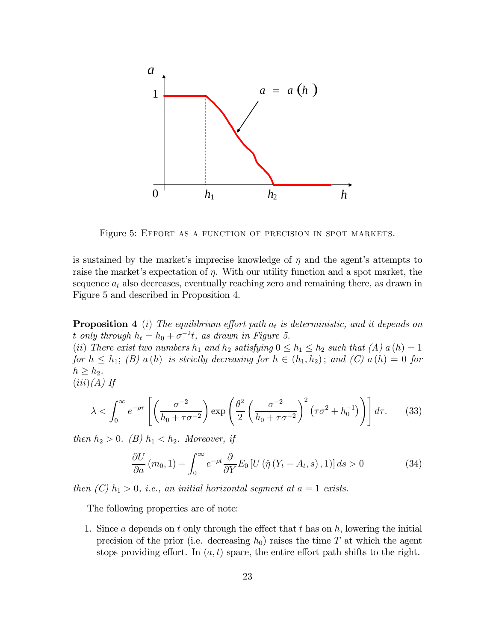

Figure 5: Effort as a function of precision in spot markets.

is sustained by the market's imprecise knowledge of  $\eta$  and the agent's attempts to raise the market's expectation of  $\eta$ . With our utility function and a spot market, the sequence  $a_t$  also decreases, eventually reaching zero and remaining there, as drawn in Figure 5 and described in Proposition 4.

**Proposition 4** (i) The equilibrium effort path  $a_t$  is deterministic, and it depends on t only through  $h_t = h_0 + \sigma^{-2}t$ , as drawn in Figure 5.

(ii) There exist two numbers  $h_1$  and  $h_2$  satisfying  $0 \leq h_1 \leq h_2$  such that  $(A)$  a  $(h)=1$ for  $h \leq h_1$ ; (B) a (h) is strictly decreasing for  $h \in (h_1, h_2)$ ; and (C) a (h) = 0 for  $h \geq h_2$ .  $(iii)(A)$  If

$$
\lambda < \int_0^\infty e^{-\rho \tau} \left[ \left( \frac{\sigma^{-2}}{h_0 + \tau \sigma^{-2}} \right) \exp\left( \frac{\theta^2}{2} \left( \frac{\sigma^{-2}}{h_0 + \tau \sigma^{-2}} \right)^2 \left( \tau \sigma^2 + h_0^{-1} \right) \right) \right] d\tau. \tag{33}
$$

then  $h_2 > 0$ . (B)  $h_1 < h_2$ . Moreover, if

$$
\frac{\partial U}{\partial a}(m_0, 1) + \int_0^\infty e^{-\rho t} \frac{\partial}{\partial Y} E_0 \left[ U\left(\hat{\eta}\left(Y_t - A_t, s\right), 1\right) \right] ds > 0 \tag{34}
$$

then  $(C)$   $h_1 > 0$ , i.e., an initial horizontal segment at  $a = 1$  exists.

The following properties are of note:

1. Since a depends on t only through the effect that t has on  $h$ , lowering the initial precision of the prior (i.e. decreasing  $h_0$ ) raises the time T at which the agent stops providing effort. In  $(a, t)$  space, the entire effort path shifts to the right.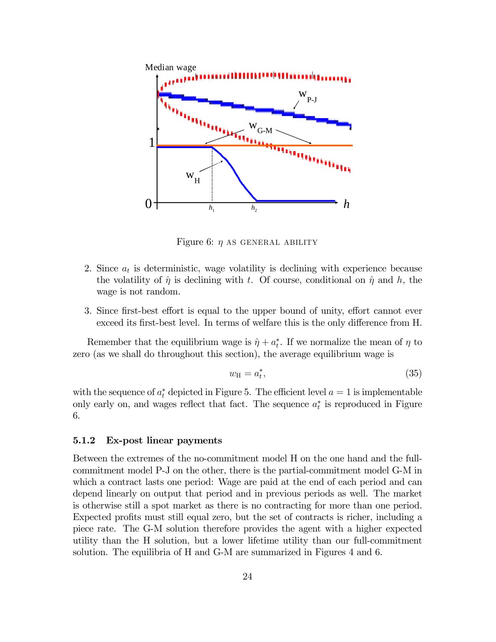

Figure 6:  $\eta$  AS GENERAL ABILITY

- 2. Since  $a_t$  is deterministic, wage volatility is declining with experience because the volatility of  $\hat{\eta}$  is declining with t. Of course, conditional on  $\hat{\eta}$  and h, the wage is not random.
- 3. Since first-best effort is equal to the upper bound of unity, effort cannot ever exceed its first-best level. In terms of welfare this is the only difference from H.

Remember that the equilibrium wage is  $\hat{\eta} + a_t^*$ . If we normalize the mean of  $\eta$  to zero (as we shall do throughout this section), the average equilibrium wage is

$$
w_{\rm H} = a_t^*,\tag{35}
$$

with the sequence of  $a_t^*$  depicted in Figure 5. The efficient level  $a = 1$  is implementable only early on, and wages reflect that fact. The sequence  $a_t^*$  is reproduced in Figure 6.

#### 5.1.2 Ex-post linear payments

Between the extremes of the no-commitment model H on the one hand and the fullcommitment model P-J on the other, there is the partial-commitment model G-M in which a contract lasts one period: Wage are paid at the end of each period and can depend linearly on output that period and in previous periods as well. The market is otherwise still a spot market as there is no contracting for more than one period. Expected profits must still equal zero, but the set of contracts is richer, including a piece rate. The G-M solution therefore provides the agent with a higher expected utility than the H solution, but a lower lifetime utility than our full-commitment solution. The equilibria of H and G-M are summarized in Figures 4 and 6.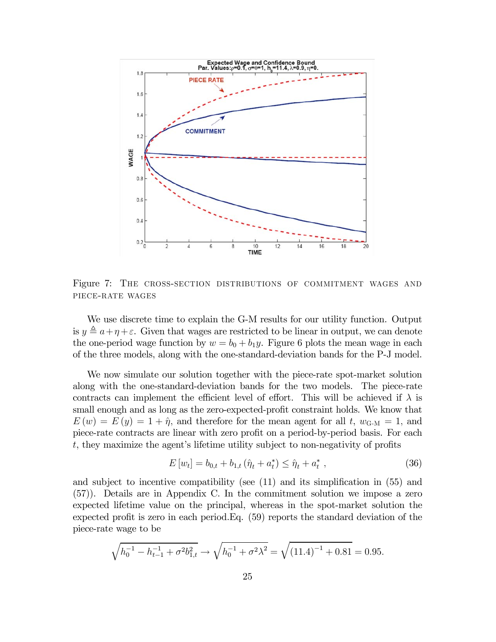

Figure 7: The cross-section distributions of commitment wages and piece-rate wages

We use discrete time to explain the G-M results for our utility function. Output is  $y \triangleq a+\eta+\varepsilon$ . Given that wages are restricted to be linear in output, we can denote the one-period wage function by  $w = b_0 + b_1y$ . Figure 6 plots the mean wage in each of the three models, along with the one-standard-deviation bands for the P-J model.

We now simulate our solution together with the piece-rate spot-market solution along with the one-standard-deviation bands for the two models. The piece-rate contracts can implement the efficient level of effort. This will be achieved if  $\lambda$  is small enough and as long as the zero-expected-profit constraint holds. We know that  $E(w) = E(y) = 1 + \hat{\eta}$ , and therefore for the mean agent for all t,  $w_{\text{G-M}} = 1$ , and piece-rate contracts are linear with zero profit on a period-by-period basis. For each t, they maximize the agent's lifetime utility subject to non-negativity of profits

$$
E\left[w_t\right] = b_{0,t} + b_{1,t} \left(\hat{\eta}_t + a_t^*\right) \le \hat{\eta}_t + a_t^*,\tag{36}
$$

and subject to incentive compatibility (see (11) and its simplification in (55) and (57)). Details are in Appendix C. In the commitment solution we impose a zero expected lifetime value on the principal, whereas in the spot-market solution the expected profit is zero in each period.Eq. (59) reports the standard deviation of the piece-rate wage to be

$$
\sqrt{h_0^{-1} - h_{t-1}^{-1} + \sigma^2 b_{1,t}^2} \to \sqrt{h_0^{-1} + \sigma^2 \lambda^2} = \sqrt{(11.4)^{-1} + 0.81} = 0.95.
$$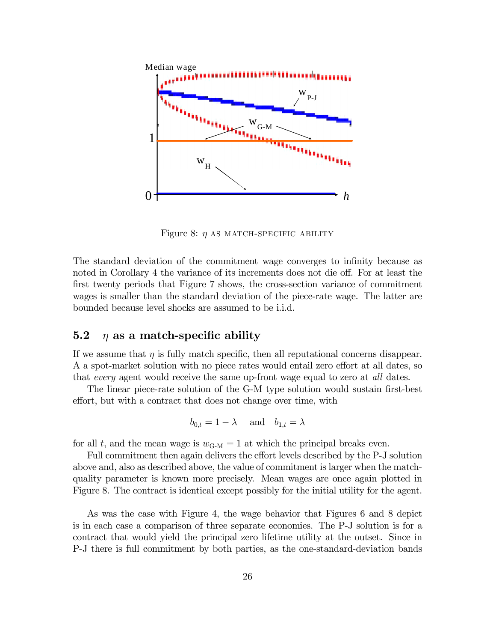

Figure 8:  $\eta$  as match-specific ability

The standard deviation of the commitment wage converges to infinity because as noted in Corollary 4 the variance of its increments does not die off. For at least the first twenty periods that Figure 7 shows, the cross-section variance of commitment wages is smaller than the standard deviation of the piece-rate wage. The latter are bounded because level shocks are assumed to be i.i.d.

#### 5.2  $\eta$  as a match-specific ability

If we assume that  $\eta$  is fully match specific, then all reputational concerns disappear. A a spot-market solution with no piece rates would entail zero effort at all dates, so that every agent would receive the same up-front wage equal to zero at all dates.

The linear piece-rate solution of the G-M type solution would sustain first-best effort, but with a contract that does not change over time, with

$$
b_{0,t} = 1 - \lambda \quad \text{and} \quad b_{1,t} = \lambda
$$

for all t, and the mean wage is  $w_{\text{G-M}} = 1$  at which the principal breaks even.

Full commitment then again delivers the effort levels described by the P-J solution above and, also as described above, the value of commitment is larger when the matchquality parameter is known more precisely. Mean wages are once again plotted in Figure 8. The contract is identical except possibly for the initial utility for the agent.

As was the case with Figure 4, the wage behavior that Figures 6 and 8 depict is in each case a comparison of three separate economies. The P-J solution is for a contract that would yield the principal zero lifetime utility at the outset. Since in P-J there is full commitment by both parties, as the one-standard-deviation bands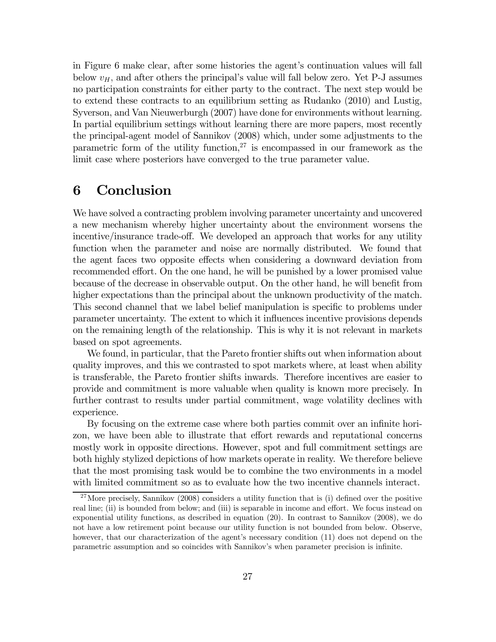in Figure 6 make clear, after some histories the agent's continuation values will fall below  $v_H$ , and after others the principal's value will fall below zero. Yet P-J assumes no participation constraints for either party to the contract. The next step would be to extend these contracts to an equilibrium setting as Rudanko (2010) and Lustig, Syverson, and Van Nieuwerburgh (2007) have done for environments without learning. In partial equilibrium settings without learning there are more papers, most recently the principal-agent model of Sannikov (2008) which, under some adjustments to the parametric form of the utility function,  $27$  is encompassed in our framework as the limit case where posteriors have converged to the true parameter value.

## 6 Conclusion

We have solved a contracting problem involving parameter uncertainty and uncovered a new mechanism whereby higher uncertainty about the environment worsens the incentive/insurance trade-off. We developed an approach that works for any utility function when the parameter and noise are normally distributed. We found that the agent faces two opposite effects when considering a downward deviation from recommended effort. On the one hand, he will be punished by a lower promised value because of the decrease in observable output. On the other hand, he will benefit from higher expectations than the principal about the unknown productivity of the match. This second channel that we label belief manipulation is specific to problems under parameter uncertainty. The extent to which it influences incentive provisions depends on the remaining length of the relationship. This is why it is not relevant in markets based on spot agreements.

We found, in particular, that the Pareto frontier shifts out when information about quality improves, and this we contrasted to spot markets where, at least when ability is transferable, the Pareto frontier shifts inwards. Therefore incentives are easier to provide and commitment is more valuable when quality is known more precisely. In further contrast to results under partial commitment, wage volatility declines with experience.

By focusing on the extreme case where both parties commit over an infinite horizon, we have been able to illustrate that effort rewards and reputational concerns mostly work in opposite directions. However, spot and full commitment settings are both highly stylized depictions of how markets operate in reality. We therefore believe that the most promising task would be to combine the two environments in a model with limited commitment so as to evaluate how the two incentive channels interact.

<sup>&</sup>lt;sup>27</sup>More precisely, Sannikov (2008) considers a utility function that is (i) defined over the positive real line; (ii) is bounded from below; and (iii) is separable in income and effort. We focus instead on exponential utility functions, as described in equation (20). In contrast to Sannikov (2008), we do not have a low retirement point because our utility function is not bounded from below. Observe, however, that our characterization of the agent's necessary condition (11) does not depend on the parametric assumption and so coincides with Sannikov's when parameter precision is infinite.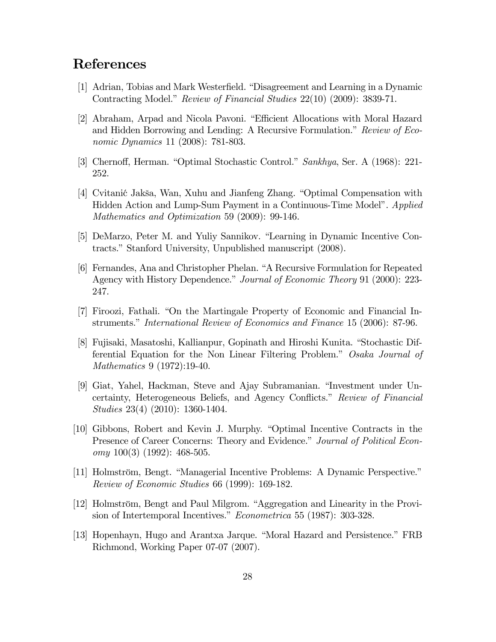## References

- [1] Adrian, Tobias and Mark Westerfield. "Disagreement and Learning in a Dynamic Contracting Model." Review of Financial Studies 22(10) (2009): 3839-71.
- [2] Abraham, Arpad and Nicola Pavoni. "Efficient Allocations with Moral Hazard and Hidden Borrowing and Lending: A Recursive Formulation." Review of Economic Dynamics 11 (2008): 781-803.
- [3] Chernoff, Herman. "Optimal Stochastic Control." Sankhya, Ser. A (1968): 221- 252.
- [4] Cvitani´c Jakša, Wan, Xuhu and Jianfeng Zhang. "Optimal Compensation with Hidden Action and Lump-Sum Payment in a Continuous-Time Model". Applied Mathematics and Optimization 59 (2009): 99-146.
- [5] DeMarzo, Peter M. and Yuliy Sannikov. "Learning in Dynamic Incentive Contracts." Stanford University, Unpublished manuscript (2008).
- [6] Fernandes, Ana and Christopher Phelan. "A Recursive Formulation for Repeated Agency with History Dependence." Journal of Economic Theory 91 (2000): 223- 247.
- [7] Firoozi, Fathali. "On the Martingale Property of Economic and Financial Instruments." International Review of Economics and Finance 15 (2006): 87-96.
- [8] Fujisaki, Masatoshi, Kallianpur, Gopinath and Hiroshi Kunita. "Stochastic Differential Equation for the Non Linear Filtering Problem." Osaka Journal of Mathematics 9 (1972):19-40.
- [9] Giat, Yahel, Hackman, Steve and Ajay Subramanian. "Investment under Uncertainty, Heterogeneous Beliefs, and Agency Conflicts." Review of Financial Studies 23(4) (2010): 1360-1404.
- [10] Gibbons, Robert and Kevin J. Murphy. "Optimal Incentive Contracts in the Presence of Career Concerns: Theory and Evidence." Journal of Political Econ $omy 100(3) (1992): 468-505.$
- [11] Holmström, Bengt. "Managerial Incentive Problems: A Dynamic Perspective." Review of Economic Studies 66 (1999): 169-182.
- [12] Holmström, Bengt and Paul Milgrom. "Aggregation and Linearity in the Provision of Intertemporal Incentives." Econometrica 55 (1987): 303-328.
- [13] Hopenhayn, Hugo and Arantxa Jarque. "Moral Hazard and Persistence." FRB Richmond, Working Paper 07-07 (2007).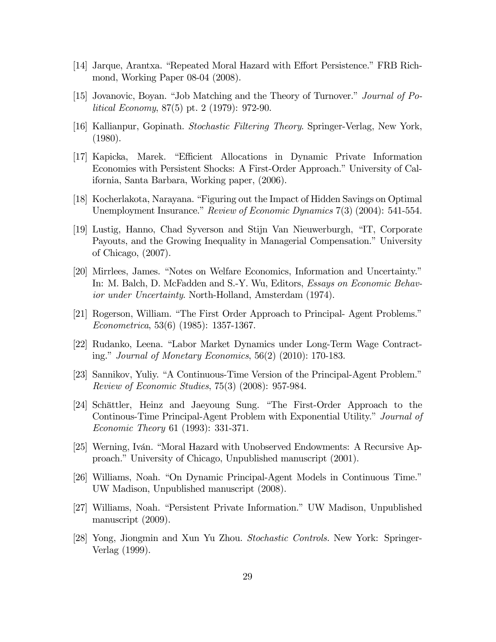- [14] Jarque, Arantxa. "Repeated Moral Hazard with Effort Persistence." FRB Richmond, Working Paper 08-04 (2008).
- [15] Jovanovic, Boyan. "Job Matching and the Theory of Turnover." Journal of Political Economy, 87(5) pt. 2 (1979): 972-90.
- [16] Kallianpur, Gopinath. Stochastic Filtering Theory. Springer-Verlag, New York, (1980).
- [17] Kapicka, Marek. "Efficient Allocations in Dynamic Private Information Economies with Persistent Shocks: A First-Order Approach." University of California, Santa Barbara, Working paper, (2006).
- [18] Kocherlakota, Narayana. "Figuring out the Impact of Hidden Savings on Optimal Unemployment Insurance." Review of Economic Dynamics 7(3) (2004): 541-554.
- [19] Lustig, Hanno, Chad Syverson and Stijn Van Nieuwerburgh, "IT, Corporate Payouts, and the Growing Inequality in Managerial Compensation." University of Chicago, (2007).
- [20] Mirrlees, James. "Notes on Welfare Economics, Information and Uncertainty." In: M. Balch, D. McFadden and S.-Y. Wu, Editors, Essays on Economic Behavior under Uncertainty. North-Holland, Amsterdam (1974).
- [21] Rogerson, William. "The First Order Approach to Principal- Agent Problems." Econometrica, 53(6) (1985): 1357-1367.
- [22] Rudanko, Leena. "Labor Market Dynamics under Long-Term Wage Contracting." Journal of Monetary Economics, 56(2) (2010): 170-183.
- [23] Sannikov, Yuliy. "A Continuous-Time Version of the Principal-Agent Problem." Review of Economic Studies, 75(3) (2008): 957-984.
- [24] Schättler, Heinz and Jaeyoung Sung. "The First-Order Approach to the Continous-Time Principal-Agent Problem with Exponential Utility." Journal of Economic Theory 61 (1993): 331-371.
- [25] Werning, Iván. "Moral Hazard with Unobserved Endowments: A Recursive Approach." University of Chicago, Unpublished manuscript (2001).
- [26] Williams, Noah. "On Dynamic Principal-Agent Models in Continuous Time." UW Madison, Unpublished manuscript (2008).
- [27] Williams, Noah. "Persistent Private Information." UW Madison, Unpublished manuscript (2009).
- [28] Yong, Jiongmin and Xun Yu Zhou. Stochastic Controls. New York: Springer-Verlag (1999).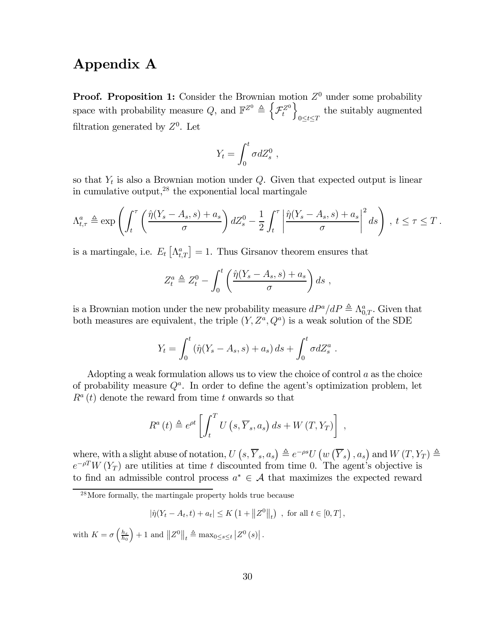## Appendix A

**Proof. Proposition 1:** Consider the Brownian motion  $Z^0$  under some probability space with probability measure  $Q$ , and  $\mathbb{F}^{Z^0} \triangleq \left\{ \mathcal{F}^{Z^0}_t \right\}$  $\overline{1}$  $0 \leq t \leq T$ the suitably augmented filtration generated by  $Z^0$ . Let

$$
Y_t = \int_0^t \sigma dZ_s^0 ,
$$

so that  $Y_t$  is also a Brownian motion under  $Q$ . Given that expected output is linear in cumulative output, $2^8$  the exponential local martingale

$$
\Lambda_{t,\tau}^a \triangleq \exp\left(\int_t^\tau \left(\frac{\hat{\eta}(Y_s - A_s, s) + a_s}{\sigma}\right) dZ_s^0 - \frac{1}{2} \int_t^\tau \left|\frac{\hat{\eta}(Y_s - A_s, s) + a_s}{\sigma}\right|^2 ds\right), \ t \leq \tau \leq T.
$$

is a martingale, i.e.  $E_t\left[\Lambda_{t,T}^a\right] = 1$ . Thus Girsanov theorem ensures that

$$
Z_t^a \triangleq Z_t^0 - \int_0^t \left( \frac{\hat{\eta}(Y_s - A_s, s) + a_s}{\sigma} \right) ds ,
$$

is a Brownian motion under the new probability measure  $dP^a/dP \triangleq \Lambda_{0,T}^a$ . Given that both measures are equivalent, the triple  $(Y, Z^a, Q^a)$  is a weak solution of the SDE

$$
Y_t = \int_0^t (\hat{\eta}(Y_s - A_s, s) + a_s) \, ds + \int_0^t \sigma dZ_s^a \, .
$$

Adopting a weak formulation allows us to view the choice of control  $a$  as the choice of probability measure  $Q^a$ . In order to define the agent's optimization problem, let  $R^{a}(t)$  denote the reward from time t onwards so that

$$
R^{a}(t) \triangleq e^{\rho t} \left[ \int_{t}^{T} U\left(s, \overline{Y}_{s}, a_{s}\right) ds + W\left(T, Y_{T}\right) \right],
$$

where, with a slight abuse of notation,  $U(s, \overline{Y}_s, a_s) \triangleq e^{-\rho s} U(w(\overline{Y}_s), a_s)$  and  $W(T, Y_T) \triangleq$  $e^{-\rho T}W(Y_T)$  are utilities at time t discounted from time 0. The agent's objective is to find an admissible control process  $a^* \in \mathcal{A}$  that maximizes the expected reward

$$
|\hat{\eta}(Y_t - A_t, t) + a_t| \le K \left(1 + \|Z^0\|_t\right)
$$
, for all  $t \in [0, T]$ ,

with  $K = \sigma \left(\frac{h_{\varepsilon}}{h_0}\right)$  $\Big\} + 1$  and  $||Z^0||_t \triangleq \max_{0 \le s \le t} |Z^0(s)|$ .

<sup>&</sup>lt;sup>28</sup>More formally, the martingale property holds true because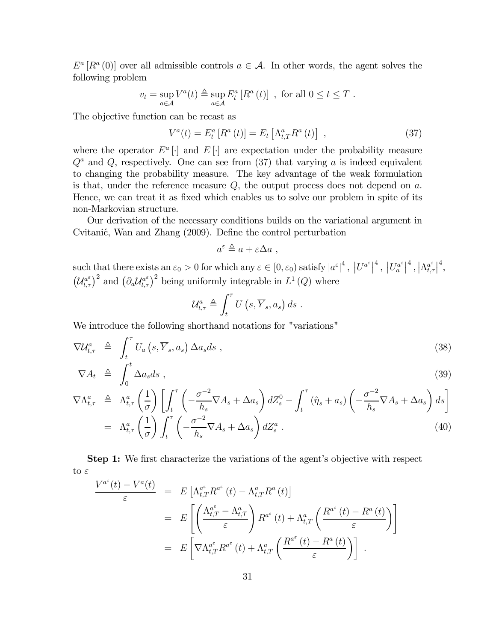$E^a[R^a(0)]$  over all admissible controls  $a \in \mathcal{A}$ . In other words, the agent solves the following problem

$$
v_t = \sup_{a \in \mathcal{A}} V^a(t) \triangleq \sup_{a \in \mathcal{A}} E^a_t [R^a(t)] \text{ , for all } 0 \le t \le T .
$$

The objective function can be recast as

$$
V^{a}(t) = E_{t}^{a}[R^{a}(t)] = E_{t}[ \Lambda_{t,T}^{a} R^{a}(t) ], \qquad (37)
$$

where the operator  $E^a$ . and  $E[\cdot]$  are expectation under the probability measure  $Q^a$  and Q, respectively. One can see from (37) that varying a is indeed equivalent to changing the probability measure. The key advantage of the weak formulation is that, under the reference measure  $Q$ , the output process does not depend on  $a$ . Hence, we can treat it as fixed which enables us to solve our problem in spite of its non-Markovian structure.

Our derivation of the necessary conditions builds on the variational argument in Cvitanić, Wan and Zhang (2009). Define the control perturbation

$$
a^{\varepsilon} \triangleq a + \varepsilon \Delta a ,
$$

such that there exists an  $\varepsilon_0 > 0$  for which any  $\varepsilon \in [0, \varepsilon_0)$  satisfy  $|a^{\varepsilon}|^4$ ,  $|U^{a^{\varepsilon}}|^4$ ,  $|U^{a^{\varepsilon}}_a|^4$ ,  $|\Lambda^{a^{\varepsilon}}_{t,\tau}|^4$ ,  $(\mathcal{U}_{t,\tau}^{a^{\varepsilon}})^2$  and  $(\partial_a \mathcal{U}_{t,\tau}^{a^{\varepsilon}})^2$  being uniformly integrable in  $L^1(Q)$  where

$$
\mathcal{U}_{t,\tau}^{a} \triangleq \int_{t}^{\tau} U\left(s,\overline{Y}_{s},a_{s}\right) ds .
$$

We introduce the following shorthand notations for "variations"

$$
\nabla \mathcal{U}_{t,\tau}^{a} \triangleq \int_{t}^{\tau} U_{a}\left(s,\overline{Y}_{s},a_{s}\right) \Delta a_{s} ds , \qquad (38)
$$

$$
\nabla A_t \triangleq \int_0^t \Delta a_s ds \;, \tag{39}
$$

$$
\nabla \Lambda_{t,\tau}^{a} \triangleq \Lambda_{t,\tau}^{a} \left(\frac{1}{\sigma}\right) \left[ \int_{t}^{\tau} \left( -\frac{\sigma^{-2}}{h_{s}} \nabla A_{s} + \Delta a_{s} \right) dZ_{s}^{0} - \int_{t}^{\tau} \left( \hat{\eta}_{s} + a_{s} \right) \left( -\frac{\sigma^{-2}}{h_{s}} \nabla A_{s} + \Delta a_{s} \right) ds \right]
$$
  

$$
= \Lambda_{t,\tau}^{a} \left( \frac{1}{\sigma} \right) \int_{t}^{\tau} \left( -\frac{\sigma^{-2}}{h_{s}} \nabla A_{s} + \Delta a_{s} \right) dZ_{s}^{a} . \tag{40}
$$

Step 1: We first characterize the variations of the agent's objective with respect to  $\varepsilon$ 

$$
\frac{V^{a^{\varepsilon}}(t) - V^{a}(t)}{\varepsilon} = E\left[\Lambda_{t,T}^{a^{\varepsilon}} R^{a^{\varepsilon}}(t) - \Lambda_{t,T}^{a} R^{a}(t)\right]
$$
  

$$
= E\left[\left(\frac{\Lambda_{t,T}^{a^{\varepsilon}} - \Lambda_{t,T}^{a}}{\varepsilon}\right) R^{a^{\varepsilon}}(t) + \Lambda_{t,T}^{a}\left(\frac{R^{a^{\varepsilon}}(t) - R^{a}(t)}{\varepsilon}\right)\right]
$$
  

$$
= E\left[\nabla \Lambda_{t,T}^{a^{\varepsilon}} R^{a^{\varepsilon}}(t) + \Lambda_{t,T}^{a}\left(\frac{R^{a^{\varepsilon}}(t) - R^{a}(t)}{\varepsilon}\right)\right].
$$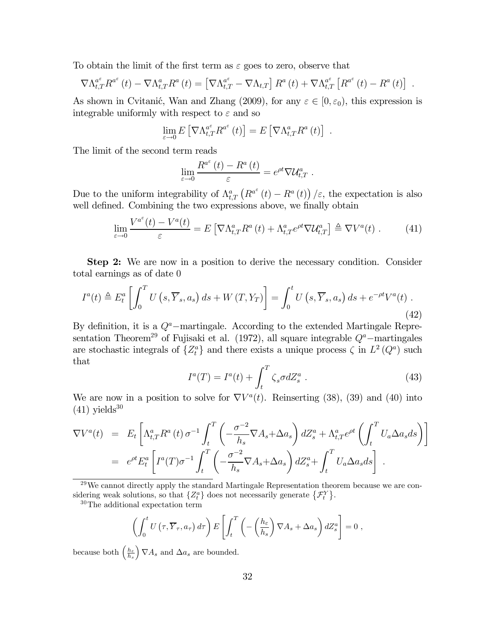To obtain the limit of the first term as  $\varepsilon$  goes to zero, observe that

$$
\nabla \Lambda_{t,T}^{a^{\varepsilon}} R^{a^{\varepsilon}}(t) - \nabla \Lambda_{t,T}^{a} R^{a}(t) = \left[ \nabla \Lambda_{t,T}^{a^{\varepsilon}} - \nabla \Lambda_{t,T} \right] R^{a}(t) + \nabla \Lambda_{t,T}^{a^{\varepsilon}} \left[ R^{a^{\varepsilon}}(t) - R^{a}(t) \right] .
$$

As shown in Cvitanić, Wan and Zhang (2009), for any  $\varepsilon \in [0, \varepsilon_0)$ , this expression is integrable uniformly with respect to  $\varepsilon$  and so

$$
\lim_{\varepsilon \to 0} E\left[\nabla \Lambda_{t,T}^{a^{\varepsilon}} R^{a^{\varepsilon}}(t)\right] = E\left[\nabla \Lambda_{t,T}^{a} R^{a}(t)\right] .
$$

The limit of the second term reads

$$
\lim_{\varepsilon \to 0} \frac{R^{a^{\varepsilon}}(t) - R^{a}(t)}{\varepsilon} = e^{\rho t} \nabla \mathcal{U}^{a}_{t,T} .
$$

Due to the uniform integrability of  $\Lambda_{t,T}^a\left(R^{a^{\varepsilon}}(t)-R^a(t)\right)/\varepsilon$ , the expectation is also well defined. Combining the two expressions above, we finally obtain

$$
\lim_{\varepsilon \to 0} \frac{V^{a^{\varepsilon}}(t) - V^{a}(t)}{\varepsilon} = E \left[ \nabla \Lambda_{t,T}^{a} R^{a}(t) + \Lambda_{t,T}^{a} e^{\rho t} \nabla \mathcal{U}_{t,T}^{a} \right] \triangleq \nabla V^{a}(t) . \tag{41}
$$

Step 2: We are now in a position to derive the necessary condition. Consider total earnings as of date 0

$$
I^{a}(t) \triangleq E_{t}^{a} \left[ \int_{0}^{T} U\left(s, \overline{Y}_{s}, a_{s}\right) ds + W\left(T, Y_{T}\right) \right] = \int_{0}^{t} U\left(s, \overline{Y}_{s}, a_{s}\right) ds + e^{-\rho t} V^{a}(t) . \tag{42}
$$

By definition, it is a  $Q^a$ –martingale. According to the extended Martingale Representation Theorem<sup>29</sup> of Fujisaki et al. (1972), all square integrable  $Q^a$ –martingales are stochastic integrals of  $\{Z_t^a\}$  and there exists a unique process  $\zeta$  in  $L^2(Q^a)$  such that

$$
I^{a}(T) = I^{a}(t) + \int_{t}^{T} \zeta_{s} \sigma dZ_{s}^{a} . \qquad (43)
$$

We are now in a position to solve for  $\nabla V^a(t)$ . Reinserting (38), (39) and (40) into  $(41)$  yields<sup>30</sup>

$$
\nabla V^{a}(t) = E_{t} \left[ \Lambda_{t,T}^{a} R^{a}(t) \sigma^{-1} \int_{t}^{T} \left( -\frac{\sigma^{-2}}{h_{s}} \nabla A_{s} + \Delta a_{s} \right) dZ_{s}^{a} + \Lambda_{t,T}^{a} e^{\rho t} \left( \int_{t}^{T} U_{a} \Delta a_{s} ds \right) \right]
$$
  
=  $e^{\rho t} E_{t}^{a} \left[ I^{a}(T) \sigma^{-1} \int_{t}^{T} \left( -\frac{\sigma^{-2}}{h_{s}} \nabla A_{s} + \Delta a_{s} \right) dZ_{s}^{a} + \int_{t}^{T} U_{a} \Delta a_{s} ds \right].$ 

 $29$ We cannot directly apply the standard Martingale Representation theorem because we are considering weak solutions, so that  $\{Z_t^a\}$  does not necessarily generate  $\{\mathcal{F}_t^Y\}$ .

30The additional expectation term

$$
\left(\int_0^t U\left(\tau,\overline{Y}_{\tau},a_{\tau}\right)d\tau\right) E\left[\int_t^T \left(-\left(\frac{h_{\varepsilon}}{h_s}\right)\nabla A_s + \Delta a_s\right)dZ_s^a\right] = 0,
$$

because both  $\left(\frac{h_{\varepsilon}}{h_{s}}\right)$  $\Big) \nabla A_s$  and  $\Delta a_s$  are bounded.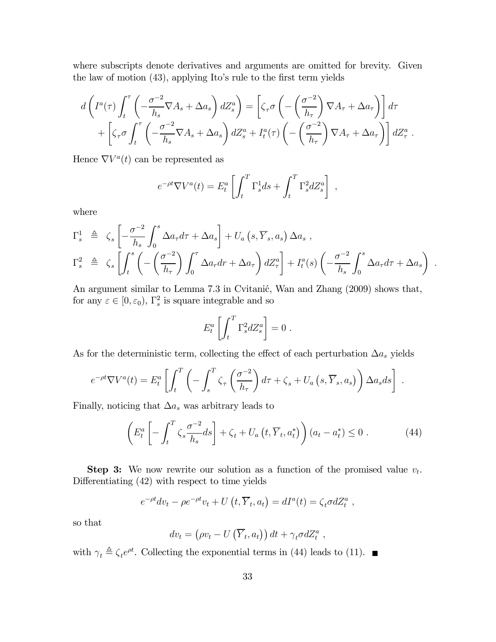where subscripts denote derivatives and arguments are omitted for brevity. Given the law of motion (43), applying Ito's rule to the first term yields

$$
d\left(I^{a}(\tau)\int_{t}^{\tau}\left(-\frac{\sigma^{-2}}{h_{s}}\nabla A_{s}+\Delta a_{s}\right)dZ_{s}^{a}\right)=\left[\zeta_{\tau}\sigma\left(-\left(\frac{\sigma^{-2}}{h_{\tau}}\right)\nabla A_{\tau}+\Delta a_{\tau}\right)\right]d\tau
$$

$$
+\left[\zeta_{\tau}\sigma\int_{t}^{\tau}\left(-\frac{\sigma^{-2}}{h_{s}}\nabla A_{s}+\Delta a_{s}\right)dZ_{s}^{a}+I_{t}^{a}(\tau)\left(-\left(\frac{\sigma^{-2}}{h_{\tau}}\right)\nabla A_{\tau}+\Delta a_{\tau}\right)\right]dZ_{\tau}^{a}.
$$

Hence  $\nabla V^a(t)$  can be represented as

$$
e^{-\rho t} \nabla V^a(t) = E^a_t \left[ \int_t^T \Gamma^1_s ds + \int_t^T \Gamma^2_s dZ^a_s \right],
$$

where

$$
\Gamma_s^1 \triangleq \zeta_s \left[ -\frac{\sigma^{-2}}{h_s} \int_0^s \Delta a_\tau d\tau + \Delta a_s \right] + U_a \left( s, \overline{Y}_s, a_s \right) \Delta a_s ,
$$
\n
$$
\Gamma_s^2 \triangleq \zeta_s \left[ \int_t^s \left( -\left( \frac{\sigma^{-2}}{h_\tau} \right) \int_0^{\tau} \Delta a_\tau dr + \Delta a_\tau \right) dZ_\tau^a \right] + I_t^a(s) \left( -\frac{\sigma^{-2}}{h_s} \int_0^s \Delta a_\tau d\tau + \Delta a_s \right)
$$

.

An argument similar to Lemma 7.3 in Cvitanić, Wan and Zhang (2009) shows that, for any  $\varepsilon \in [0, \varepsilon_0)$ ,  $\Gamma_s^2$  is square integrable and so

$$
E_t^a \left[ \int_t^T \Gamma_s^2 dZ_s^a \right] = 0.
$$

As for the deterministic term, collecting the effect of each perturbation  $\Delta a_s$  yields

$$
e^{-\rho t} \nabla V^{a}(t) = E_{t}^{a} \left[ \int_{t}^{T} \left( - \int_{s}^{T} \zeta_{\tau} \left( \frac{\sigma^{-2}}{h_{\tau}} \right) d\tau + \zeta_{s} + U_{a} \left( s, \overline{Y}_{s}, a_{s} \right) \right) \Delta a_{s} ds \right].
$$

Finally, noticing that  $\Delta a_s$  was arbitrary leads to

$$
\left(E_t^a \left[ -\int_t^T \zeta_s \frac{\sigma^{-2}}{h_s} ds \right] + \zeta_t + U_a \left( t, \overline{Y}_t, a_t^* \right) \right) (a_t - a_t^*) \le 0 \,. \tag{44}
$$

**Step 3:** We now rewrite our solution as a function of the promised value  $v_t$ . Differentiating (42) with respect to time yields

$$
e^{-\rho t} dv_t - \rho e^{-\rho t} v_t + U(t, \overline{Y}_t, a_t) = dI^a(t) = \zeta_t \sigma dZ_t^a,
$$

so that

$$
dv_t = (\rho v_t - U(\overline{Y}_t, a_t)) dt + \gamma_t \sigma dZ_t^a ,
$$

with  $\gamma_t \triangleq \zeta_t e^{\rho t}$ . Collecting the exponential terms in (44) leads to (11).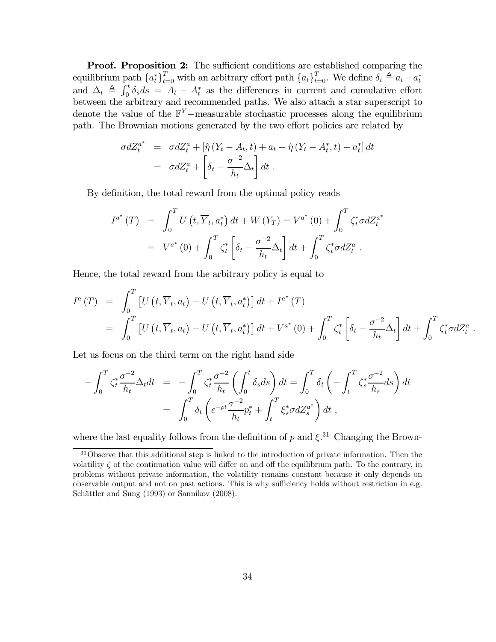Proof. Proposition 2: The sufficient conditions are established comparing the equilibrium path  $\{a_t^*\}_{t=0}^T$  with an arbitrary effort path  $\{a_t\}_{t=0}^T$ . We define  $\delta_t \triangleq a_t - a_t^*$ and  $\Delta_t \triangleq \int_0^t \delta_s ds = A_t - A_t^*$  as the differences in current and cumulative effort between the arbitrary and recommended paths. We also attach a star superscript to denote the value of the  $\mathbb{F}^{Y}$  –measurable stochastic processes along the equilibrium path. The Brownian motions generated by the two effort policies are related by

$$
\sigma dZ_t^{a^*} = \sigma dZ_t^a + \left[\hat{\eta} \left(Y_t - A_t, t\right) + a_t - \hat{\eta} \left(Y_t - A_t^*, t\right) - a_t^*\right] dt
$$
  

$$
= \sigma dZ_t^a + \left[\delta_t - \frac{\sigma^{-2}}{h_t} \Delta_t\right] dt.
$$

By definition, the total reward from the optimal policy reads

$$
I^{a^{*}}(T) = \int_{0}^{T} U(t, \overline{Y}_{t}, a_{t}^{*}) dt + W(Y_{T}) = V^{a^{*}}(0) + \int_{0}^{T} \zeta_{t}^{*} \sigma dZ_{t}^{a^{*}}
$$
  
=  $V^{a^{*}}(0) + \int_{0}^{T} \zeta_{t}^{*} \left[ \delta_{t} - \frac{\sigma^{-2}}{h_{t}} \Delta_{t} \right] dt + \int_{0}^{T} \zeta_{t}^{*} \sigma dZ_{t}^{a}.$ 

Hence, the total reward from the arbitrary policy is equal to

$$
I^{a}(T) = \int_{0}^{T} \left[ U(t, \overline{Y}_{t}, a_{t}) - U(t, \overline{Y}_{t}, a_{t}^{*}) \right] dt + I^{a^{*}}(T)
$$
  
= 
$$
\int_{0}^{T} \left[ U(t, \overline{Y}_{t}, a_{t}) - U(t, \overline{Y}_{t}, a_{t}^{*}) \right] dt + V^{a^{*}}(0) + \int_{0}^{T} \zeta_{t}^{*} \left[ \delta_{t} - \frac{\sigma^{-2}}{h_{t}} \Delta_{t} \right] dt + \int_{0}^{T} \zeta_{t}^{*} \sigma dZ_{t}^{a}.
$$

Let us focus on the third term on the right hand side

$$
-\int_0^T \zeta_t^* \frac{\sigma^{-2}}{h_t} \Delta_t dt = -\int_0^T \zeta_t^* \frac{\sigma^{-2}}{h_t} \left( \int_0^t \delta_s ds \right) dt = \int_0^T \delta_t \left( -\int_t^T \zeta_s^* \frac{\sigma^{-2}}{h_s} ds \right) dt
$$
  
= 
$$
\int_0^T \delta_t \left( e^{-\rho t} \frac{\sigma^{-2}}{h_t} p_t^* + \int_t^T \xi_s^* \sigma dZ_s^{a^*} \right) dt,
$$

where the last equality follows from the definition of p and  $\xi$ <sup>31</sup> Changing the Brown-

<sup>&</sup>lt;sup>31</sup>Observe that this additional step is linked to the introduction of private information. Then the volatility  $\zeta$  of the continuation value will differ on and off the equilibrium path. To the contrary, in problems without private information, the volatility remains constant because it only depends on observable output and not on past actions. This is why sufficiency holds without restriction in e.g. Schättler and Sung (1993) or Sannikov (2008).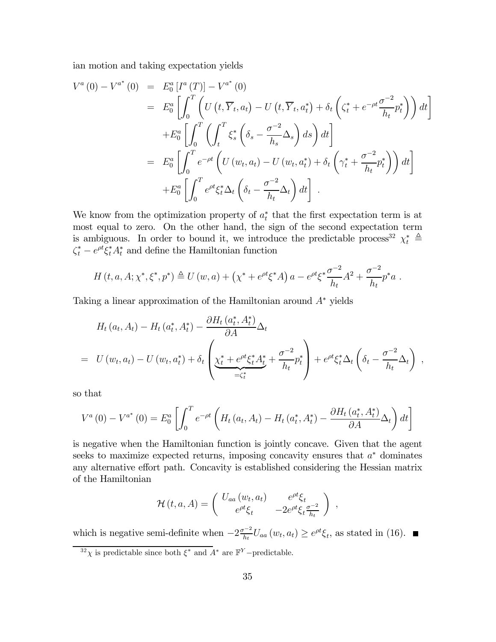ian motion and taking expectation yields

$$
V^{a}(0) - V^{a^{*}}(0) = E_{0}^{a}[I^{a}(T)] - V^{a^{*}}(0)
$$
  
\n
$$
= E_{0}^{a}\left[\int_{0}^{T}\left(U(t,\overline{Y}_{t},a_{t}) - U(t,\overline{Y}_{t},a_{t}^{*}) + \delta_{t}\left(\zeta_{t}^{*} + e^{-\rho t}\frac{\sigma^{-2}}{h_{t}}p_{t}^{*}\right)\right)dt\right]
$$
  
\n
$$
+ E_{0}^{a}\left[\int_{0}^{T}\left(\int_{t}^{T}\xi_{s}^{*}\left(\delta_{s} - \frac{\sigma^{-2}}{h_{s}}\Delta_{s}\right)ds\right)dt\right]
$$
  
\n
$$
= E_{0}^{a}\left[\int_{0}^{T}e^{-\rho t}\left(U(w_{t},a_{t}) - U(w_{t},a_{t}^{*}) + \delta_{t}\left(\gamma_{t}^{*} + \frac{\sigma^{-2}}{h_{t}}p_{t}^{*}\right)\right)dt\right]
$$
  
\n
$$
+ E_{0}^{a}\left[\int_{0}^{T}e^{\rho t}\xi_{t}^{*}\Delta_{t}\left(\delta_{t} - \frac{\sigma^{-2}}{h_{t}}\Delta_{t}\right)dt\right].
$$

We know from the optimization property of  $a_t^*$  that the first expectation term is at most equal to zero. On the other hand, the sign of the second expectation term is ambiguous. In order to bound it, we introduce the predictable process<sup>32</sup>  $\chi_t^* \triangleq$  $\zeta_t^* - e^{\rho t} \xi_t^* A_t^*$  and define the Hamiltonian function

$$
H(t, a, A; \chi^*, \xi^*, p^*) \triangleq U(w, a) + (\chi^* + e^{\rho t} \xi^* A) a - e^{\rho t} \xi^* \frac{\sigma^{-2}}{h_t} A^2 + \frac{\sigma^{-2}}{h_t} p^* a.
$$

Taking a linear approximation of the Hamiltonian around A<sup>∗</sup> yields

$$
H_t(a_t, A_t) - H_t(a_t^*, A_t^*) - \frac{\partial H_t(a_t^*, A_t^*)}{\partial A} \Delta_t
$$
  
=  $U(w_t, a_t) - U(w_t, a_t^*) + \delta_t \left( \underbrace{\chi_t^* + e^{\rho t} \xi_t^* A_t^*}_{= \zeta_t^*} + \frac{\sigma^{-2}}{h_t} p_t^* \right) + e^{\rho t} \xi_t^* \Delta_t \left( \delta_t - \frac{\sigma^{-2}}{h_t} \Delta_t \right)$ 

,

so that

$$
V^{a}(0) - V^{a^{*}}(0) = E_{0}^{a} \left[ \int_{0}^{T} e^{-\rho t} \left( H_{t}(a_{t}, A_{t}) - H_{t}(a_{t}^{*}, A_{t}^{*}) - \frac{\partial H_{t}(a_{t}^{*}, A_{t}^{*})}{\partial A} \Delta_{t} \right) dt \right]
$$

is negative when the Hamiltonian function is jointly concave. Given that the agent seeks to maximize expected returns, imposing concavity ensures that  $a^*$  dominates any alternative effort path. Concavity is established considering the Hessian matrix of the Hamiltonian

$$
\mathcal{H}(t,a,A) = \begin{pmatrix} U_{aa}(w_t,a_t) & e^{\rho t} \xi_t \\ e^{\rho t} \xi_t & -2e^{\rho t} \xi_t \frac{\sigma^{-2}}{h_t} \end{pmatrix} ,
$$

which is negative semi-definite when  $-2\frac{\sigma^{-2}}{h_t}U_{aa}(w_t, a_t) \geq e^{\rho t}\xi_t$ , as stated in (16).

 $32\chi$  is predictable since both  $\xi^*$  and  $A^*$  are  $\mathbb{F}^Y$  –predictable.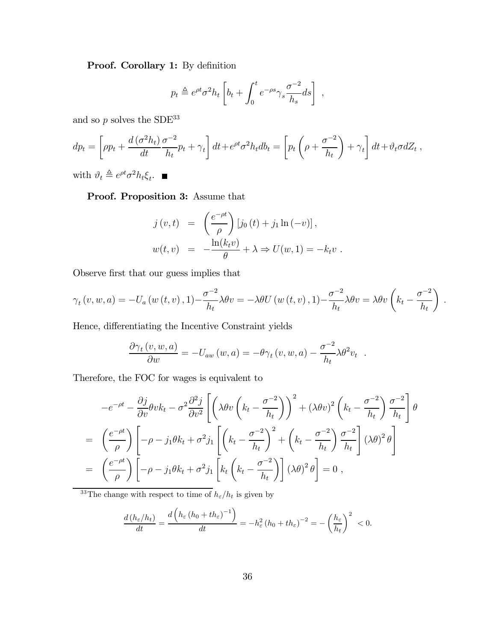Proof. Corollary 1: By definition

$$
p_t \triangleq e^{\rho t} \sigma^2 h_t \left[ b_t + \int_0^t e^{-\rho s} \gamma_s \frac{\sigma^{-2}}{h_s} ds \right] ,
$$

and so  $p$  solves the SDE<sup>33</sup>

$$
dp_t = \left[ \rho p_t + \frac{d\left(\sigma^2 h_t\right)}{dt} \frac{\sigma^{-2}}{h_t} p_t + \gamma_t \right] dt + e^{\rho t} \sigma^2 h_t db_t = \left[ p_t \left( \rho + \frac{\sigma^{-2}}{h_t} \right) + \gamma_t \right] dt + \vartheta_t \sigma dZ_t,
$$

with  $\vartheta_t \triangleq e^{\rho t} \sigma^2 h_t \xi_t$ .

Proof. Proposition 3: Assume that

$$
j(v,t) = \left(\frac{e^{-\rho t}}{\rho}\right) [j_0(t) + j_1 \ln(-v)],
$$
  

$$
w(t,v) = -\frac{\ln(k_t v)}{\theta} + \lambda \Rightarrow U(w,1) = -k_t v.
$$

Observe first that our guess implies that

$$
\gamma_t(v, w, a) = -U_a(w(t, v), 1) - \frac{\sigma^{-2}}{h_t} \lambda \theta v = -\lambda \theta U(w(t, v), 1) - \frac{\sigma^{-2}}{h_t} \lambda \theta v = \lambda \theta v \left( k_t - \frac{\sigma^{-2}}{h_t} \right).
$$

Hence, differentiating the Incentive Constraint yields

$$
\frac{\partial \gamma_t(v, w, a)}{\partial w} = -U_{aw}(w, a) = -\theta \gamma_t(v, w, a) - \frac{\sigma^{-2}}{h_t} \lambda \theta^2 v_t.
$$

Therefore, the FOC for wages is equivalent to

$$
-e^{-\rho t} - \frac{\partial j}{\partial v}\theta v k_t - \sigma^2 \frac{\partial^2 j}{\partial v^2} \left[ \left( \lambda \theta v \left( k_t - \frac{\sigma^{-2}}{h_t} \right) \right)^2 + (\lambda \theta v)^2 \left( k_t - \frac{\sigma^{-2}}{h_t} \right) \frac{\sigma^{-2}}{h_t} \right] \theta
$$
  
=  $\left( \frac{e^{-\rho t}}{\rho} \right) \left[ -\rho - j_1 \theta k_t + \sigma^2 j_1 \left[ \left( k_t - \frac{\sigma^{-2}}{h_t} \right)^2 + \left( k_t - \frac{\sigma^{-2}}{h_t} \right) \frac{\sigma^{-2}}{h_t} \right] (\lambda \theta)^2 \theta \right]$   
=  $\left( \frac{e^{-\rho t}}{\rho} \right) \left[ -\rho - j_1 \theta k_t + \sigma^2 j_1 \left[ k_t \left( k_t - \frac{\sigma^{-2}}{h_t} \right) \right] (\lambda \theta)^2 \theta \right] = 0,$ 

<sup>33</sup>The change with respect to time of  $h_{\varepsilon}/h_t$  is given by

$$
\frac{d\left(h_{\varepsilon}/h_t\right)}{dt} = \frac{d\left(h_{\varepsilon}\left(h_0 + th_{\varepsilon}\right)^{-1}\right)}{dt} = -h_{\varepsilon}^2\left(h_0 + th_{\varepsilon}\right)^{-2} = -\left(\frac{h_{\varepsilon}}{h_t}\right)^2 < 0.
$$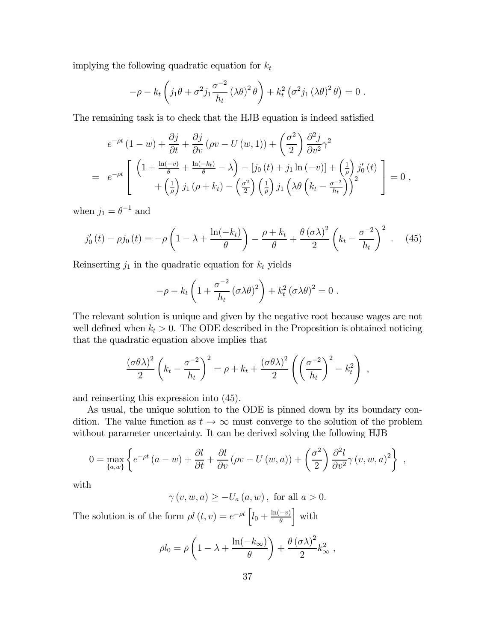implying the following quadratic equation for  $k_t$ 

$$
-\rho - k_t \left( j_1 \theta + \sigma^2 j_1 \frac{\sigma^{-2}}{h_t} (\lambda \theta)^2 \theta \right) + k_t^2 \left( \sigma^2 j_1 (\lambda \theta)^2 \theta \right) = 0.
$$

The remaining task is to check that the HJB equation is indeed satisfied

$$
e^{-\rho t} (1 - w) + \frac{\partial j}{\partial t} + \frac{\partial j}{\partial v} (\rho v - U(w, 1)) + \left(\frac{\sigma^2}{2}\right) \frac{\partial^2 j}{\partial v^2} \gamma^2
$$
  
= 
$$
e^{-\rho t} \left[ \left( 1 + \frac{\ln(-v)}{\theta} + \frac{\ln(-k_t)}{\theta} - \lambda \right) - \left[ j_0(t) + j_1 \ln(-v) \right] + \left( \frac{1}{\rho} \right) j'_0(t) + \left( \frac{1}{\rho} \right) j_1 (\rho + k_t) - \left( \frac{\sigma^2}{2} \right) \left( \frac{1}{\rho} \right) j_1 \left( \lambda \theta \left( k_t - \frac{\sigma^{-2}}{h_t} \right) \right)^2 \right] = 0,
$$

when  $j_1 = \theta^{-1}$  and

$$
j_0'(t) - \rho j_0(t) = -\rho \left( 1 - \lambda + \frac{\ln(-k_t)}{\theta} \right) - \frac{\rho + k_t}{\theta} + \frac{\theta (\sigma \lambda)^2}{2} \left( k_t - \frac{\sigma^{-2}}{h_t} \right)^2. \tag{45}
$$

Reinserting  $j_1$  in the quadratic equation for  $k_t$  yields

$$
-\rho - k_t \left(1 + \frac{\sigma^{-2}}{h_t} \left(\sigma \lambda \theta\right)^2\right) + k_t^2 \left(\sigma \lambda \theta\right)^2 = 0.
$$

The relevant solution is unique and given by the negative root because wages are not well defined when  $k_t > 0$ . The ODE described in the Proposition is obtained noticing that the quadratic equation above implies that

$$
\frac{(\sigma \theta \lambda)^2}{2} \left( k_t - \frac{\sigma^{-2}}{h_t} \right)^2 = \rho + k_t + \frac{(\sigma \theta \lambda)^2}{2} \left( \left( \frac{\sigma^{-2}}{h_t} \right)^2 - k_t^2 \right) ,
$$

and reinserting this expression into (45).

As usual, the unique solution to the ODE is pinned down by its boundary condition. The value function as  $t \to \infty$  must converge to the solution of the problem without parameter uncertainty. It can be derived solving the following HJB

$$
0 = \max_{\{a,w\}} \left\{ e^{-\rho t} \left( a - w \right) + \frac{\partial l}{\partial t} + \frac{\partial l}{\partial v} \left( \rho v - U \left( w, a \right) \right) + \left( \frac{\sigma^2}{2} \right) \frac{\partial^2 l}{\partial v^2} \gamma \left( v, w, a \right)^2 \right\},
$$

with

$$
\gamma(v, w, a) \ge -U_a(a, w)
$$
, for all  $a > 0$ .

The solution is of the form  $\rho l(t, v) = e^{-\rho t} \left[ l_0 + \frac{\ln(-v)}{\theta} \right]$ | with

$$
\rho l_0 = \rho \left( 1 - \lambda + \frac{\ln(-k_{\infty})}{\theta} \right) + \frac{\theta (\sigma \lambda)^2}{2} k_{\infty}^2,
$$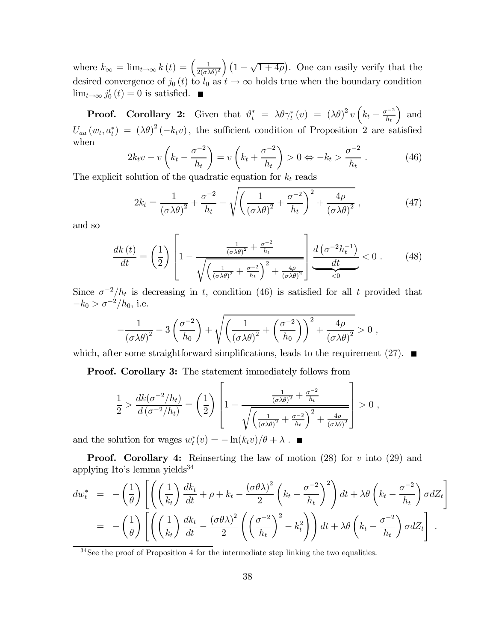where  $k_{\infty} = \lim_{t \to \infty} k(t) = \left(\frac{1}{2(\sigma \lambda \theta)^2}\right) \left(1 - \sqrt{1 + 4\rho}\right)$ . One can easily verify that the desired convergence of  $j_0(t)$  to  $l_0$  as  $t \to \infty$  holds true when the boundary condition  $\lim_{t\to\infty} j'_0(t)=0$  is satisfied.

**Proof.** Corollary 2: Given that  $\vartheta_t^* = \lambda \theta \gamma_t^*(v) = (\lambda \theta)^2 v \left( k_t - \frac{\sigma^{-2}}{h_t} \right)$ ) and  $U_{aa}(w_t, a_t^*) = (\lambda \theta)^2 (-k_t v)$ , the sufficient condition of Proposition 2 are satisfied when

$$
2k_t v - v\left(k_t - \frac{\sigma^{-2}}{h_t}\right) = v\left(k_t + \frac{\sigma^{-2}}{h_t}\right) > 0 \Leftrightarrow -k_t > \frac{\sigma^{-2}}{h_t}.
$$
 (46)

The explicit solution of the quadratic equation for  $k_t$  reads

$$
2k_t = \frac{1}{(\sigma \lambda \theta)^2} + \frac{\sigma^{-2}}{h_t} - \sqrt{\left(\frac{1}{(\sigma \lambda \theta)^2} + \frac{\sigma^{-2}}{h_t}\right)^2 + \frac{4\rho}{(\sigma \lambda \theta)^2}}\,,\tag{47}
$$

and so

$$
\frac{dk\left(t\right)}{dt} = \left(\frac{1}{2}\right) \left[1 - \frac{\frac{1}{\left(\sigma\lambda\theta\right)^2} + \frac{\sigma^{-2}}{h_t}}{\sqrt{\left(\frac{1}{\left(\sigma\lambda\theta\right)^2} + \frac{\sigma^{-2}}{h_t}\right)^2 + \frac{4\rho}{\left(\sigma\lambda\theta\right)^2}}}\right] \frac{d\left(\sigma^{-2}h_t^{-1}\right)}{dt} < 0. \tag{48}
$$

Since  $\sigma^{-2}/h_t$  is decreasing in t, condition (46) is satisfied for all t provided that  $-k_0 > \sigma^{-2}/h_0$ , i.e.

$$
-\frac{1}{(\sigma\lambda\theta)^2} - 3\left(\frac{\sigma^{-2}}{h_0}\right) + \sqrt{\left(\frac{1}{(\sigma\lambda\theta)^2} + \left(\frac{\sigma^{-2}}{h_0}\right)\right)^2 + \frac{4\rho}{(\sigma\lambda\theta)^2}} > 0,
$$

which, after some straightforward simplifications, leads to the requirement (27).  $\blacksquare$ 

Proof. Corollary 3: The statement immediately follows from

$$
\frac{1}{2} > \frac{dk(\sigma^{-2}/h_t)}{d(\sigma^{-2}/h_t)} = \left(\frac{1}{2}\right) \left[1 - \frac{\frac{1}{(\sigma\lambda\theta)^2} + \frac{\sigma^{-2}}{h_t}}{\sqrt{\left(\frac{1}{(\sigma\lambda\theta)^2} + \frac{\sigma^{-2}}{h_t}\right)^2 + \frac{4\rho}{(\sigma\lambda\theta)^2}}} \right] > 0,
$$

and the solution for wages  $w_t^*(v) = -\ln(k_t v)/\theta + \lambda$ .

**Proof.** Corollary 4: Reinserting the law of motion  $(28)$  for v into  $(29)$  and applying Ito's lemma yields $34$ 

$$
dw_t^* = -\left(\frac{1}{\theta}\right) \left[ \left( \left(\frac{1}{k_t}\right) \frac{dk_t}{dt} + \rho + k_t - \frac{(\sigma \theta \lambda)^2}{2} \left( k_t - \frac{\sigma^{-2}}{h_t} \right)^2 \right) dt + \lambda \theta \left( k_t - \frac{\sigma^{-2}}{h_t} \right) \sigma dZ_t \right]
$$
  
= -\left(\frac{1}{\theta}\right) \left[ \left( \left(\frac{1}{k\_t}\right) \frac{dk\_t}{dt} - \frac{(\sigma \theta \lambda)^2}{2} \left( \left(\frac{\sigma^{-2}}{h\_t}\right)^2 - k\_t^2 \right) \right) dt + \lambda \theta \left( k\_t - \frac{\sigma^{-2}}{h\_t} \right) \sigma dZ\_t \right].

<sup>34</sup>See the proof of Proposition 4 for the intermediate step linking the two equalities.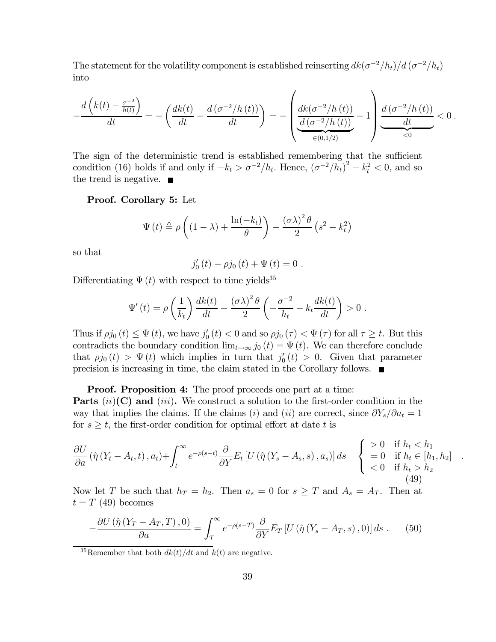The statement for the volatility component is established reinserting  $dk(\sigma^{-2}/h_t)/d(\sigma^{-2}/h_t)$ into

$$
-\frac{d\left(k(t)-\frac{\sigma^{-2}}{h(t)}\right)}{dt}=-\left(\frac{dk(t)}{dt}-\frac{d\left(\sigma^{-2}/h\left(t\right)\right)}{dt}\right)=-\left(\underbrace{\frac{dk(\sigma^{-2}/h\left(t\right))}{d\left(\sigma^{-2}/h\left(t\right)\right)}}_{\in(0,1/2)}-1\right)\underbrace{\frac{d\left(\sigma^{-2}/h\left(t\right)\right)}{dt}}_{<0}<0\ .
$$

The sign of the deterministic trend is established remembering that the sufficient condition (16) holds if and only if  $-k_t > \sigma^{-2}/h_t$ . Hence,  $(\sigma^{-2}/\bar{h_t})^2 - k_t^2 < 0$ , and so the trend is negative.  $\blacksquare$ 

Proof. Corollary 5: Let

$$
\Psi(t) \triangleq \rho \left( (1 - \lambda) + \frac{\ln(-k_t)}{\theta} \right) - \frac{(\sigma \lambda)^2 \theta}{2} \left( s^2 - k_t^2 \right)
$$

so that

$$
j'_{0}(t) - \rho j_{0}(t) + \Psi(t) = 0.
$$

Differentiating  $\Psi(t)$  with respect to time yields<sup>35</sup>

$$
\Psi'(t) = \rho \left(\frac{1}{k_t}\right) \frac{dk(t)}{dt} - \frac{(\sigma \lambda)^2 \theta}{2} \left(-\frac{\sigma^{-2}}{h_t} - k_t \frac{dk(t)}{dt}\right) > 0.
$$

Thus if  $\rho j_0(t) \leq \Psi(t)$ , we have  $j'_0(t) < 0$  and so  $\rho j_0(\tau) < \Psi(\tau)$  for all  $\tau \geq t$ . But this contradicts the boundary condition  $\lim_{t\to\infty} j_0(t) = \Psi(t)$ . We can therefore conclude that  $\rho j_0(t) > \Psi(t)$  which implies in turn that  $j'_0(t) > 0$ . Given that parameter precision is increasing in time, the claim stated in the Corollary follows.

#### **Proof. Proposition 4:** The proof proceeds one part at a time:

**Parts**  $(ii)(C)$  and  $(iii)$ . We construct a solution to the first-order condition in the way that implies the claims. If the claims (i) and (ii) are correct, since  $\partial Y_s/\partial a_t = 1$ for  $s \geq t$ , the first-order condition for optimal effort at date t is

$$
\frac{\partial U}{\partial a} \left( \hat{\eta} \left( Y_t - A_t, t \right), a_t \right) + \int_t^{\infty} e^{-\rho(s-t)} \frac{\partial}{\partial Y} E_t \left[ U \left( \hat{\eta} \left( Y_s - A_s, s \right), a_s \right) \right] ds \begin{cases} > 0 & \text{if } h_t < h_1 \\ = 0 & \text{if } h_t \in [h_1, h_2] \\ < 0 & \text{if } h_t > h_2 \end{cases} \tag{49}
$$

.

Now let T be such that  $h_T = h_2$ . Then  $a_s = 0$  for  $s \geq T$  and  $A_s = A_T$ . Then at  $t = T(49)$  becomes

$$
-\frac{\partial U\left(\hat{\eta}\left(Y_T - A_T, T\right), 0\right)}{\partial a} = \int_T^{\infty} e^{-\rho(s-T)} \frac{\partial}{\partial Y} E_T \left[ U\left(\hat{\eta}\left(Y_s - A_T, s\right), 0\right) \right] ds \tag{50}
$$

<sup>35</sup>Remember that both  $dk(t)/dt$  and  $k(t)$  are negative.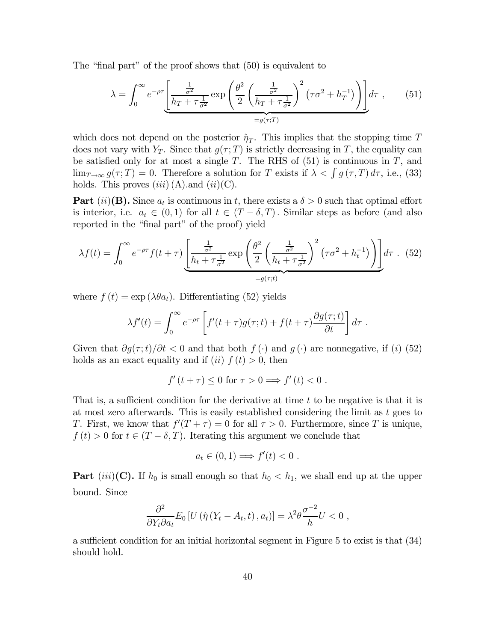The "final part" of the proof shows that (50) is equivalent to

$$
\lambda = \int_0^\infty e^{-\rho \tau} \left[ \frac{\frac{1}{\sigma^2}}{h_T + \tau \frac{1}{\sigma^2}} \exp\left( \frac{\theta^2}{2} \left( \frac{\frac{1}{\sigma^2}}{h_T + \tau \frac{1}{\sigma^2}} \right)^2 \left( \tau \sigma^2 + h_T^{-1} \right) \right) \right] d\tau , \qquad (51)
$$

which does not depend on the posterior  $\hat{\eta}_T$ . This implies that the stopping time T does not vary with  $Y_T$ . Since that  $g(\tau; T)$  is strictly decreasing in T, the equality can be satisfied only for at most a single  $T$ . The RHS of  $(51)$  is continuous in  $T$ , and  $\lim_{T\to\infty} g(\tau;T)=0.$  Therefore a solution for T exists if  $\lambda < \int g(\tau,T) d\tau$ , i.e., (33) holds. This proves  $(iii)$  (A). and  $(ii)$  (C).

**Part** (ii)(**B**). Since  $a_t$  is continuous in t, there exists a  $\delta > 0$  such that optimal effort is interior, i.e.  $a_t \in (0,1)$  for all  $t \in (T - \delta, T)$ . Similar steps as before (and also reported in the "final part" of the proof) yield

$$
\lambda f(t) = \int_0^\infty e^{-\rho \tau} f(t + \tau) \underbrace{\left[ \frac{\frac{1}{\sigma^2}}{h_t + \tau \frac{1}{\sigma^2}} \exp\left( \frac{\theta^2}{2} \left( \frac{\frac{1}{\sigma^2}}{h_t + \tau \frac{1}{\sigma^2}} \right)^2 (\tau \sigma^2 + h_t^{-1}) \right) \right]}_{=g(\tau; t)} d\tau. \tag{52}
$$

where  $f(t) = \exp(\lambda \theta a_t)$ . Differentiating (52) yields

$$
\lambda f'(t) = \int_0^\infty e^{-\rho \tau} \left[ f'(t+\tau)g(\tau;t) + f(t+\tau) \frac{\partial g(\tau;t)}{\partial t} \right] d\tau.
$$

Given that  $\partial g(\tau;t)/\partial t < 0$  and that both  $f(\cdot)$  and  $g(\cdot)$  are nonnegative, if (i) (52) holds as an exact equality and if (ii)  $f(t) > 0$ , then

$$
f'(t+\tau) \le 0 \text{ for } \tau > 0 \Longrightarrow f'(t) < 0.
$$

That is, a sufficient condition for the derivative at time  $t$  to be negative is that it is at most zero afterwards. This is easily established considering the limit as  $t$  goes to T. First, we know that  $f'(T + \tau) = 0$  for all  $\tau > 0$ . Furthermore, since T is unique,  $f(t) > 0$  for  $t \in (T - \delta, T)$ . Iterating this argument we conclude that

$$
a_t \in (0,1) \Longrightarrow f'(t) < 0.
$$

**Part** (iii)(C). If  $h_0$  is small enough so that  $h_0 < h_1$ , we shall end up at the upper bound. Since

$$
\frac{\partial^2}{\partial Y_t \partial a_t} E_0 \left[ U \left( \hat{\eta} \left( Y_t - A_t, t \right), a_t \right) \right] = \lambda^2 \theta \frac{\sigma^{-2}}{h} U < 0 \;,
$$

a sufficient condition for an initial horizontal segment in Figure 5 to exist is that (34) should hold.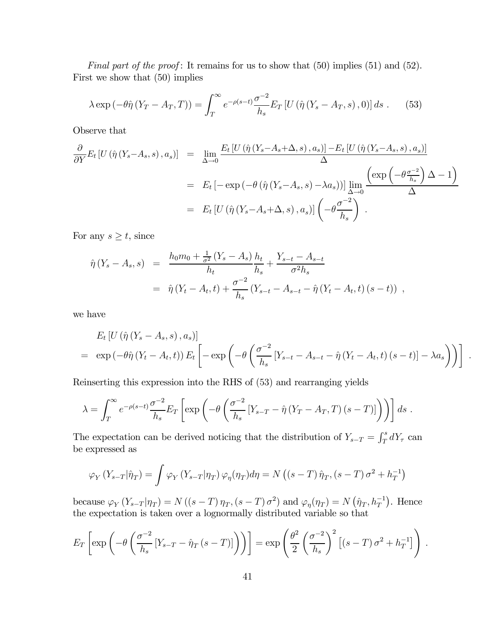Final part of the proof: It remains for us to show that  $(50)$  implies  $(51)$  and  $(52)$ . First we show that (50) implies

$$
\lambda \exp\left(-\theta \hat{\eta} \left(Y_T - A_T, T\right)\right) = \int_T^{\infty} e^{-\rho(s-t)} \frac{\sigma^{-2}}{h_s} E_T \left[U\left(\hat{\eta} \left(Y_s - A_T, s\right), 0\right)\right] ds \tag{53}
$$

Observe that

$$
\frac{\partial}{\partial Y} E_t \left[ U \left( \hat{\eta} \left( Y_s - A_s, s \right), a_s \right) \right] = \lim_{\Delta \to 0} \frac{E_t \left[ U \left( \hat{\eta} \left( Y_s - A_s + \Delta, s \right), a_s \right) \right] - E_t \left[ U \left( \hat{\eta} \left( Y_s - A_s, s \right), a_s \right) \right]}{\Delta}
$$
\n
$$
= E_t \left[ -\exp \left( -\theta \left( \hat{\eta} \left( Y_s - A_s, s \right) - \lambda a_s \right) \right] \lim_{\Delta \to 0} \frac{\left( \exp \left( -\theta \frac{\sigma^{-2}}{h_s} \right) \Delta - 1 \right)}{\Delta}
$$
\n
$$
= E_t \left[ U \left( \hat{\eta} \left( Y_s - A_s + \Delta, s \right), a_s \right) \right] \left( -\theta \frac{\sigma^{-2}}{h_s} \right) .
$$

For any  $s \geq t$ , since

$$
\hat{\eta}(Y_s - A_s, s) = \frac{h_0 m_0 + \frac{1}{\sigma^2} (Y_s - A_s)}{h_t} \frac{h_t}{h_s} + \frac{Y_{s-t} - A_{s-t}}{\sigma^2 h_s} \n= \hat{\eta}(Y_t - A_t, t) + \frac{\sigma^{-2}}{h_s} (Y_{s-t} - A_{s-t} - \hat{\eta}(Y_t - A_t, t) (s-t)) ,
$$

we have

$$
E_t \left[ U \left( \hat{\eta} \left( Y_s - A_s, s \right), a_s \right) \right]
$$
  
=  $\exp \left( -\theta \hat{\eta} \left( Y_t - A_t, t \right) \right) E_t \left[ -\exp \left( -\theta \left( \frac{\sigma^{-2}}{h_s} \left[ Y_{s-t} - A_{s-t} - \hat{\eta} \left( Y_t - A_t, t \right) (s-t) \right] - \lambda a_s \right) \right) \right].$ 

Reinserting this expression into the RHS of (53) and rearranging yields

$$
\lambda = \int_T^{\infty} e^{-\rho(s-t)} \frac{\sigma^{-2}}{h_s} E_T \left[ \exp \left( -\theta \left( \frac{\sigma^{-2}}{h_s} \left[ Y_{s-T} - \hat{\eta} \left( Y_T - A_T, T \right) (s-T) \right] \right) \right) \right] ds.
$$

The expectation can be derived noticing that the distribution of  $Y_{s-T} = \int_T^s dY_\tau$  can be expressed as

$$
\varphi_Y(Y_{s-T}|\hat{\eta}_T) = \int \varphi_Y(Y_{s-T}|\eta_T) \varphi_\eta(\eta_T) d\eta = N((s-T)\hat{\eta}_T, (s-T)\sigma^2 + h_T^{-1})
$$

because  $\varphi_Y(Y_{s-T}|\eta_T) = N((s-T)\eta_T, (s-T)\sigma^2)$  and  $\varphi_\eta(\eta_T) = N(\hat{\eta}_T, h_T^{-1})$ . Hence the expectation is taken over a lognormally distributed variable so that

$$
E_T\left[\exp\left(-\theta\left(\frac{\sigma^{-2}}{h_s}\left[Y_{s-T}-\hat{\eta}_T\left(s-T\right)\right]\right)\right)\right]=\exp\left(\frac{\theta^2}{2}\left(\frac{\sigma^{-2}}{h_s}\right)^2\left[\left(s-T\right)\sigma^2+h_T^{-1}\right]\right).
$$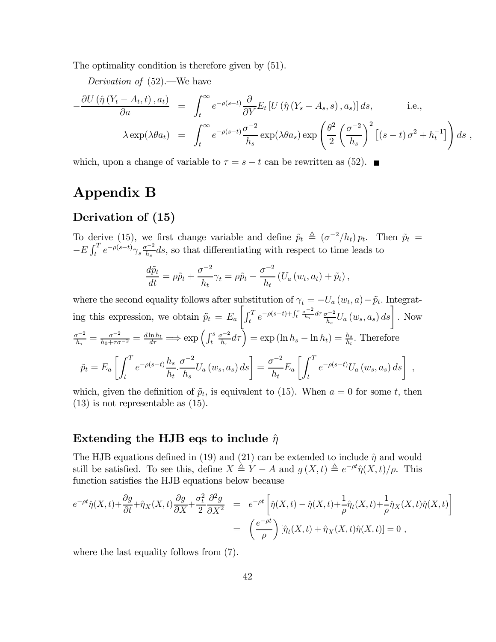The optimality condition is therefore given by (51).

Derivation of (52).–We have

$$
-\frac{\partial U(\hat{\eta}(Y_t - A_t, t), a_t)}{\partial a} = \int_t^{\infty} e^{-\rho(s-t)} \frac{\partial}{\partial Y} E_t \left[ U(\hat{\eta}(Y_s - A_s, s), a_s) \right] ds, \quad \text{i.e.,}
$$

$$
\lambda \exp(\lambda \theta a_t) = \int_t^{\infty} e^{-\rho(s-t)} \frac{\sigma^{-2}}{h_s} \exp(\lambda \theta a_s) \exp\left(\frac{\theta^2}{2} \left(\frac{\sigma^{-2}}{h_s}\right)^2 \left[ (s-t) \sigma^2 + h_t^{-1} \right] \right) ds,
$$

which, upon a change of variable to  $\tau = s - t$  can be rewritten as (52).  $\blacksquare$ 

## Appendix B

### Derivation of (15)

To derive (15), we first change variable and define  $\tilde{p}_t \triangleq (\sigma^{-2}/h_t) p_t$ . Then  $\tilde{p}_t =$  $-E \int_t^T e^{-\rho(s-t)} \gamma_s \frac{\sigma^{-2}}{h_s} ds$ , so that differentiating with respect to time leads to

$$
\frac{d\tilde{p}_t}{dt} = \rho \tilde{p}_t + \frac{\sigma^{-2}}{h_t} \gamma_t = \rho \tilde{p}_t - \frac{\sigma^{-2}}{h_t} \left( U_a \left( w_t, a_t \right) + \tilde{p}_t \right),
$$

where the second equality follows after substitution of  $\gamma_t = -U_a(w_t, a) - \tilde{p}_t$ . Integrating this expression, we obtain  $\tilde{p}_t = E_a$  $\left[\int_t^T e^{-\rho(s-t)+\int_t^s \frac{\sigma^{-2}}{h_\tau}d\tau} \frac{\sigma^{-2}}{h_s} U_a\left(w_s, a_s\right) ds\right].$  Now  $\frac{\sigma^{-2}}{h_{\tau}} = \frac{\sigma^{-2}}{h_0 + \tau \sigma^{-2}} = \frac{d \ln h_t}{d \tau} \Longrightarrow \exp \left( \int_t^s$  $\left(\frac{\sigma^{-2}}{h_{\tau}}d\tau\right)$  = exp (ln  $h_s$  – ln  $h_t$ ) =  $\frac{h_s}{h_t}$ . Therefore  $\widetilde{p}_t = E_a$  $\int f^T$ t  $e^{-\rho(s-t)}\frac{h_s}{h}$  $h_t$ .  $\sigma^{-2}$  $h_s$  $U_a(w_s, a_s) ds = \frac{\sigma^{-2}}{h}$  $h_t$  $E_a$  $\int f^T$ t  $e^{-\rho(s-t)}U_a(w_s, a_s) ds$ ,

which, given the definition of  $\tilde{p}_t$ , is equivalent to (15). When  $a = 0$  for some t, then (13) is not representable as (15).

#### Extending the HJB eqs to include  $\hat{\eta}$

The HJB equations defined in (19) and (21) can be extended to include  $\hat{\eta}$  and would still be satisfied. To see this, define  $X \triangleq Y - A$  and  $g(X, t) \triangleq e^{-\rho t} \hat{\eta}(X, t)/\rho$ . This function satisfies the HJB equations below because

$$
e^{-\rho t}\hat{\eta}(X,t) + \frac{\partial g}{\partial t} + \hat{\eta}_X(X,t)\frac{\partial g}{\partial X} + \frac{\sigma_t^2}{2}\frac{\partial^2 g}{\partial X^2} = e^{-\rho t} \left[\hat{\eta}(X,t) - \hat{\eta}(X,t) + \frac{1}{\rho}\hat{\eta}_t(X,t) + \frac{1}{\rho}\hat{\eta}_X(X,t)\hat{\eta}(X,t)\right]
$$
  
=  $\left(\frac{e^{-\rho t}}{\rho}\right)[\hat{\eta}_t(X,t) + \hat{\eta}_X(X,t)\hat{\eta}(X,t)] = 0$ ,

where the last equality follows from (7).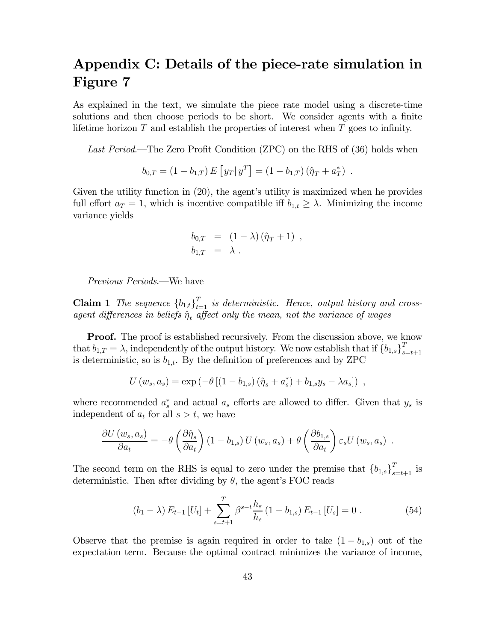## Appendix C: Details of the piece-rate simulation in Figure 7

As explained in the text, we simulate the piece rate model using a discrete-time solutions and then choose periods to be short. We consider agents with a finite lifetime horizon  $T$  and establish the properties of interest when  $T$  goes to infinity.

Last Period.—The Zero Profit Condition (ZPC) on the RHS of (36) holds when

$$
b_{0,T} = (1 - b_{1,T}) E [y_T | y^T] = (1 - b_{1,T}) (\hat{\eta}_T + a^*_T).
$$

Given the utility function in (20), the agent's utility is maximized when he provides full effort  $a_T = 1$ , which is incentive compatible iff  $b_{1,t} \geq \lambda$ . Minimizing the income variance yields

$$
b_{0,T} = (1 - \lambda) (\hat{\eta}_T + 1) ,
$$
  

$$
b_{1,T} = \lambda .
$$

Previous Periods.–We have

**Claim 1** The sequence  ${b_{1,t}}_{t=1}^T$  is deterministic. Hence, output history and crossagent differences in beliefs  $\hat{\eta}_t$  affect only the mean, not the variance of wages

Proof. The proof is established recursively. From the discussion above, we know that  $b_{1,T} = \lambda$ , independently of the output history. We now establish that if  ${b_{1,s}}_{s=t+1}^T$ is deterministic, so is  $b_{1,t}$ . By the definition of preferences and by ZPC

$$
U(w_s, a_s) = \exp(-\theta \left[ (1 - b_{1,s}) \left( \hat{\eta}_s + a_s^* \right) + b_{1,s} y_s - \lambda a_s \right]) ,
$$

where recommended  $a_s^*$  and actual  $a_s$  efforts are allowed to differ. Given that  $y_s$  is independent of  $a_t$  for all  $s > t$ , we have

$$
\frac{\partial U(w_s, a_s)}{\partial a_t} = -\theta \left( \frac{\partial \hat{\eta}_s}{\partial a_t} \right) (1 - b_{1,s}) U(w_s, a_s) + \theta \left( \frac{\partial b_{1,s}}{\partial a_t} \right) \varepsilon_s U(w_s, a_s) .
$$

The second term on the RHS is equal to zero under the premise that  ${b_{1,s}}_{s=t+1}^T$  is deterministic. Then after dividing by  $\theta$ , the agent's FOC reads

$$
(b_1 - \lambda) E_{t-1} [U_t] + \sum_{s=t+1}^T \beta^{s-t} \frac{h_\varepsilon}{h_s} (1 - b_{1,s}) E_{t-1} [U_s] = 0.
$$
 (54)

Observe that the premise is again required in order to take  $(1 - b_{1,s})$  out of the expectation term. Because the optimal contract minimizes the variance of income,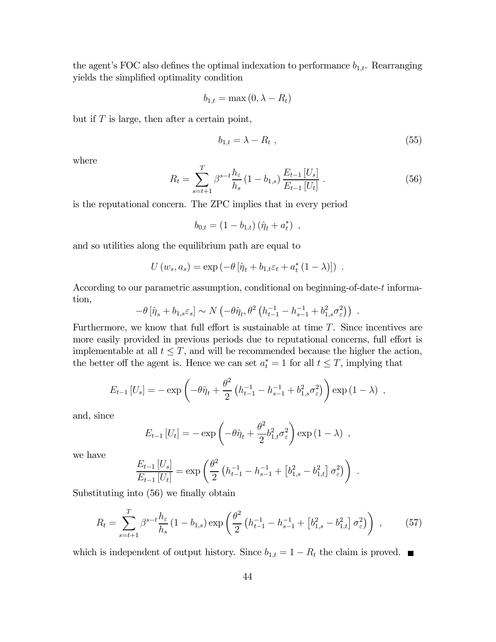the agent's FOC also defines the optimal indexation to performance  $b_{1,t}$ . Rearranging yields the simplified optimality condition

$$
b_{1,t} = \max(0, \lambda - R_t)
$$

but if  $T$  is large, then after a certain point,

$$
b_{1,t} = \lambda - R_t \tag{55}
$$

where

$$
R_t = \sum_{s=t+1}^{T} \beta^{s-t} \frac{h_{\varepsilon}}{h_s} (1 - b_{1,s}) \frac{E_{t-1} [U_s]}{E_{t-1} [U_t]}.
$$
 (56)

is the reputational concern. The ZPC implies that in every period

$$
b_{0,t} = (1 - b_{1,t}) (\hat{\eta}_t + a_t^*) \, ,
$$

and so utilities along the equilibrium path are equal to

$$
U(w_s, a_s) = \exp \left(-\theta \left[\hat{\eta}_t + b_{1,t} \varepsilon_t + a_t^* (1 - \lambda)\right]\right) .
$$

According to our parametric assumption, conditional on beginning-of-date-t information,

$$
-\theta \left[\hat{\eta}_s + b_{1,s} \varepsilon_s\right] \sim N\left(-\theta \hat{\eta}_t, \theta^2 \left(h_{t-1}^{-1} - h_{s-1}^{-1} + b_{1,s}^2 \sigma_\varepsilon^2\right)\right) .
$$

Furthermore, we know that full effort is sustainable at time T. Since incentives are more easily provided in previous periods due to reputational concerns, full effort is implementable at all  $t \leq T$ , and will be recommended because the higher the action, the better off the agent is. Hence we can set  $a_t^* = 1$  for all  $t \leq T$ , implying that

$$
E_{t-1}[U_s] = -\exp\left(-\theta \hat{\eta}_t + \frac{\theta^2}{2} \left(h_{t-1}^{-1} - h_{s-1}^{-1} + b_{1,s}^2 \sigma_\varepsilon^2\right)\right) \exp\left(1 - \lambda\right) ,
$$

and, since

$$
E_{t-1}[U_t] = -\exp\left(-\theta\hat{\eta}_t + \frac{\theta^2}{2}b_{1,t}^2\sigma_\varepsilon^2\right)\exp\left(1-\lambda\right) ,
$$

we have

$$
\frac{E_{t-1}[U_s]}{E_{t-1}[U_t]} = \exp\left(\frac{\theta^2}{2} \left(h_{t-1}^{-1} - h_{s-1}^{-1} + \left[b_{1,s}^2 - b_{1,t}^2\right] \sigma_\varepsilon^2\right)\right) .
$$

Substituting into (56) we finally obtain

$$
R_t = \sum_{s=t+1}^{T} \beta^{s-t} \frac{h_{\varepsilon}}{h_s} (1 - b_{1,s}) \exp\left(\frac{\theta^2}{2} \left(h_{t-1}^{-1} - h_{s-1}^{-1} + \left[b_{1,s}^2 - b_{1,t}^2\right] \sigma_{\varepsilon}^2\right)\right) ,\qquad(57)
$$

which is independent of output history. Since  $b_{1,t} = 1 - R_t$  the claim is proved.  $\blacksquare$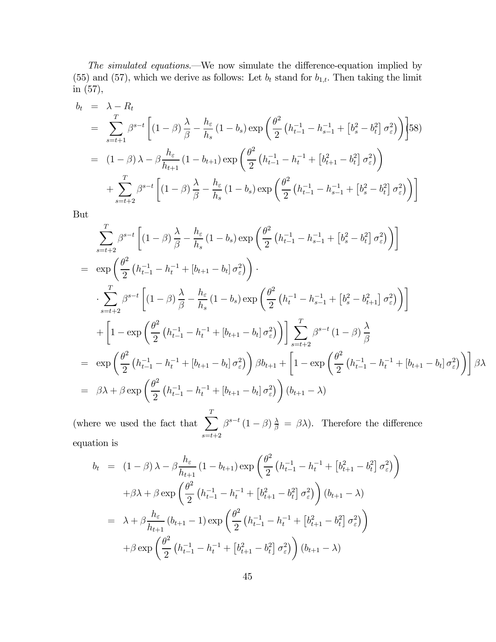The simulated equations.–We now simulate the difference-equation implied by (55) and (57), which we derive as follows: Let  $b_t$  stand for  $b_{1,t}$ . Then taking the limit in (57),

$$
b_{t} = \lambda - R_{t}
$$
  
\n
$$
= \sum_{s=t+1}^{T} \beta^{s-t} \left[ (1-\beta) \frac{\lambda}{\beta} - \frac{h_{\varepsilon}}{h_{s}} (1-b_{s}) \exp \left( \frac{\theta^{2}}{2} \left( h_{t-1}^{-1} - h_{s-1}^{-1} + \left[ b_{s}^{2} - b_{t}^{2} \right] \sigma_{\varepsilon}^{2} \right) \right] \right] 58)
$$
  
\n
$$
= (1-\beta) \lambda - \beta \frac{h_{\varepsilon}}{h_{t+1}} (1-b_{t+1}) \exp \left( \frac{\theta^{2}}{2} \left( h_{t-1}^{-1} - h_{t}^{-1} + \left[ b_{t+1}^{2} - b_{t}^{2} \right] \sigma_{\varepsilon}^{2} \right) \right)
$$
  
\n
$$
+ \sum_{s=t+2}^{T} \beta^{s-t} \left[ (1-\beta) \frac{\lambda}{\beta} - \frac{h_{\varepsilon}}{h_{s}} (1-b_{s}) \exp \left( \frac{\theta^{2}}{2} \left( h_{t-1}^{-1} - h_{s-1}^{-1} + \left[ b_{s}^{2} - b_{t}^{2} \right] \sigma_{\varepsilon}^{2} \right) \right) \right]
$$

But

$$
\sum_{s=t+2}^{T} \beta^{s-t} \left[ (1-\beta) \frac{\lambda}{\beta} - \frac{h_{\varepsilon}}{h_{s}} (1-b_{s}) \exp \left( \frac{\theta^{2}}{2} \left( h_{t-1}^{-1} - h_{s-1}^{-1} + \left[ b_{s}^{2} - b_{t}^{2} \right] \sigma_{\varepsilon}^{2} \right) \right) \right]
$$
\n
$$
= \exp \left( \frac{\theta^{2}}{2} \left( h_{t-1}^{-1} - h_{t}^{-1} + \left[ b_{t+1} - b_{t} \right] \sigma_{\varepsilon}^{2} \right) \right).
$$
\n
$$
\sum_{s=t+2}^{T} \beta^{s-t} \left[ (1-\beta) \frac{\lambda}{\beta} - \frac{h_{\varepsilon}}{h_{s}} (1-b_{s}) \exp \left( \frac{\theta^{2}}{2} \left( h_{t}^{-1} - h_{s-1}^{-1} + \left[ b_{s}^{2} - b_{t+1}^{2} \right] \sigma_{\varepsilon}^{2} \right) \right) \right]
$$
\n
$$
+ \left[ 1 - \exp \left( \frac{\theta^{2}}{2} \left( h_{t-1}^{-1} - h_{t}^{-1} + \left[ b_{t+1} - b_{t} \right] \sigma_{\varepsilon}^{2} \right) \right] \right] \sum_{s=t+2}^{T} \beta^{s-t} (1-\beta) \frac{\lambda}{\beta}
$$
\n
$$
= \exp \left( \frac{\theta^{2}}{2} \left( h_{t-1}^{-1} - h_{t}^{-1} + \left[ b_{t+1} - b_{t} \right] \sigma_{\varepsilon}^{2} \right) \right) \beta b_{t+1} + \left[ 1 - \exp \left( \frac{\theta^{2}}{2} \left( h_{t-1}^{-1} - h_{t}^{-1} + \left[ b_{t+1} - b_{t} \right] \sigma_{\varepsilon}^{2} \right) \right) \beta \lambda
$$
\n
$$
= \beta \lambda + \beta \exp \left( \frac{\theta^{2}}{2} \left( h_{t-1}^{-1} - h_{t}^{-1} + \left[ b_{t+1} - b_{t} \right] \sigma_{\varepsilon}^{2} \right) \right) \left( b_{t+1} - \lambda \right)
$$

(where we used the fact that  $\sum_{i=1}^{T}$  $_{s=t+2}$  $\beta^{s-t} (1-\beta) \frac{\lambda}{\beta} = \beta \lambda$ . Therefore the difference equation is

$$
b_{t} = (1 - \beta) \lambda - \beta \frac{h_{\varepsilon}}{h_{t+1}} (1 - b_{t+1}) \exp \left( \frac{\theta^{2}}{2} \left( h_{t-1}^{-1} - h_{t}^{-1} + \left[ b_{t+1}^{2} - b_{t}^{2} \right] \sigma_{\varepsilon}^{2} \right) \right)
$$

$$
+ \beta \lambda + \beta \exp \left( \frac{\theta^{2}}{2} \left( h_{t-1}^{-1} - h_{t}^{-1} + \left[ b_{t+1}^{2} - b_{t}^{2} \right] \sigma_{\varepsilon}^{2} \right) \right) \left( b_{t+1} - \lambda \right)
$$

$$
= \lambda + \beta \frac{h_{\varepsilon}}{h_{t+1}} \left( b_{t+1} - 1 \right) \exp \left( \frac{\theta^{2}}{2} \left( h_{t-1}^{-1} - h_{t}^{-1} + \left[ b_{t+1}^{2} - b_{t}^{2} \right] \sigma_{\varepsilon}^{2} \right) \right)
$$

$$
+ \beta \exp \left( \frac{\theta^{2}}{2} \left( h_{t-1}^{-1} - h_{t}^{-1} + \left[ b_{t+1}^{2} - b_{t}^{2} \right] \sigma_{\varepsilon}^{2} \right) \right) \left( b_{t+1} - \lambda \right)
$$